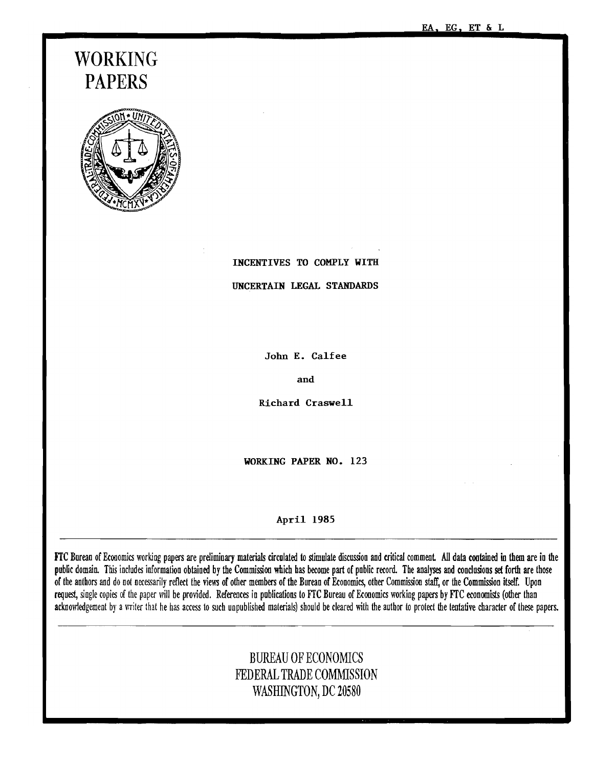EA. EG. ET & L

# WORKING PAPERS



INCENTIVES TO COMPLY WITH

UNCERTAIN LEGAL STANDARDS

John E. Calfee

and

Richard Craswell

WORKING PAPER NO. 123

#### April 1985

FTC Burean of Economics working papers are preliminary materials circulated to stimulate discussion and critical comment. All data contained in them are in the public domain. This includes information obtained by the Commission which has become part of pnblic record. The analyses and conclusions set forth are those of the authors and do not necessarily reflect the views of other members of the Bureau of Economics, other Commission staff, or the Commission itself. Upon request, single copies of the paper will be provided. References in publications to FrC Bureau of Economics working papers by FrC economists (other than acknowledgement by a writer that he has access to such unpublished materials) should be cleared with the author to protect the tentative character of these papers.

# BUREAU OF ECONOMICS FEDERAL TRADE COMMISSION WASHINGTON, DC 20580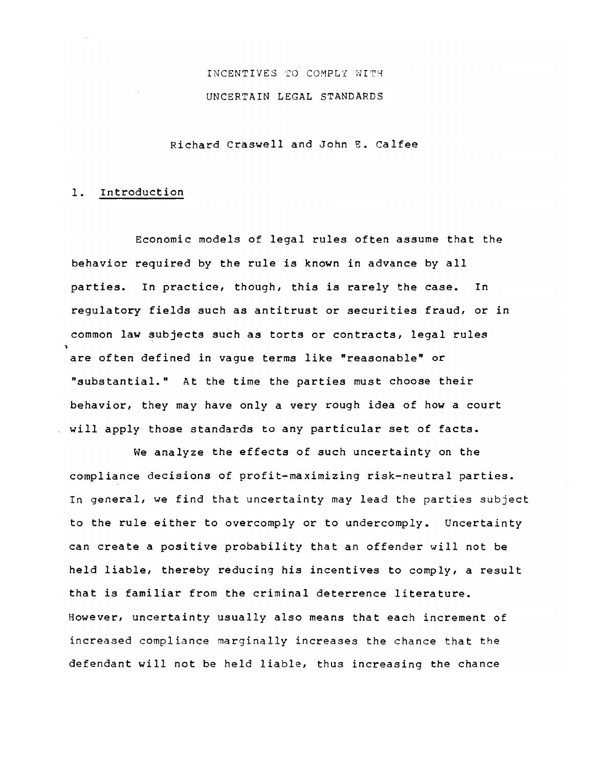# INCENTIVES TO COMPLY WITH UNCERTAIN LEGAL STANDARDS

Richard *Craswell* and John E. *Calfee* 

#### *1.* Introduction

Economic *models* of *legal rules* often assume that the behavior required by the *rule* is known in advance by *all*  parties. In practice, though, this is *rarely* the case. In regulatory *fields* such as antitrust or securities fraud, or in common law subjects such as torts or contracts, legal *rules*  are often defined in vague terms *like* "reasonable" or "substantial." At the time the parties must choose their behavior, they may have *only* a very rough idea of how a court *will* apply those standards to any particular set of facts.

We analyze the effects of such uncertainty on the compliance decisions of profit-maximizing risk-neutral parties. In general, we find that uncertainty may lead the parties subject to the *rule* either to overcomply or to undercomply. Uncertainty can create a positive probability that an offender *will* not be *held* liable, thereby reducing his incentives to comply, a result that is familiar from the criminal deterrence literature. However, uncertainty usually *also* means that each increment of increased compliance marginally increases the chance that the defendant *will* not be held liable, thus increasing the chance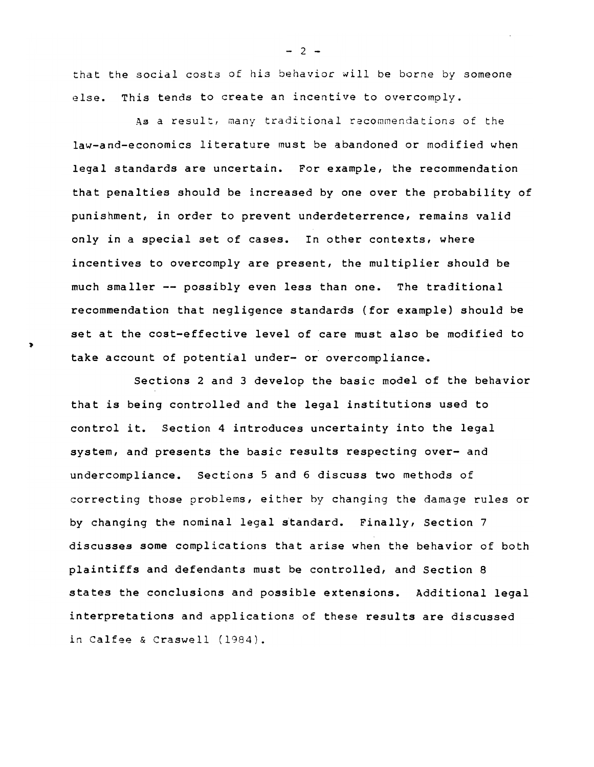that the social costs of his behavior will be borne by someone else. This tends to create an incentive to overcomply.

As a result, many traditional recommendations of the law-and-economics literature must be abandoned or modified when legal standards are uncertain. For example, the recommendation that penalties should be increased by one over the probability of punishment, in order to prevent underdeterrence, remains valid only in a special set of cases. In other contexts, where incentives to overcomply are present, the multiplier should be much smaller -- possibly even less than one. The traditional recommendation that negligence standards (for example) should be set at the cost-effective level of care must also be modified to take account of potential under- or overcompliance.

Sections 2 and 3 develop the basic model of the behavior that is being controlled and the legal institutions used to control it. Section 4 introduces uncertainty into the legal system, and presents the basic results respecting over- and undercompliance. Sections 5 and 6 discuss two methods of correcting those problems, either by changing the damage rules or by changing the nominal legal standard. Finally, Section 7 discusses some complications that arise when the behavior of both plaintiffs and defendants must be controlled, and Section 8 states the conclusions and possible extensions. Additional legal interpretations and applications of these results are discussed in Calfee & Craswel1 (1984).

- 2 -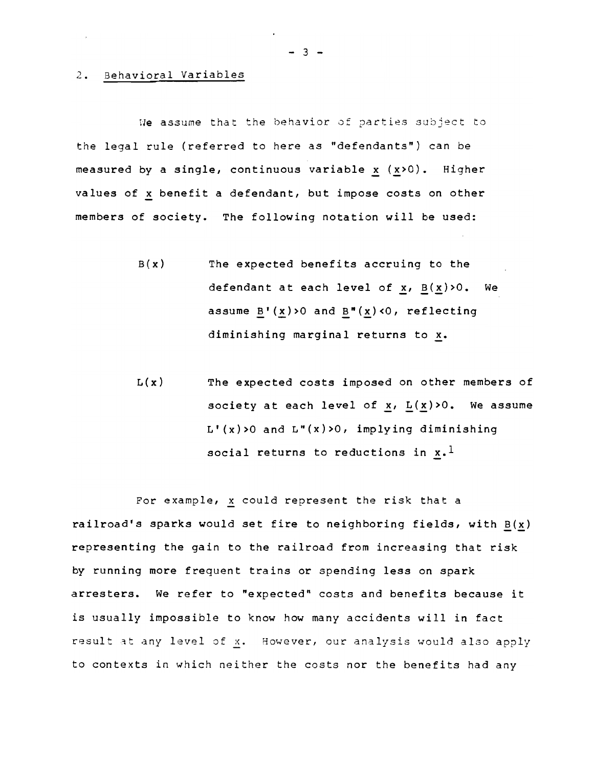#### 2. Behavioral Variables

Ne assume that the behavior of parties subject to the legal rule (referred to here as "defendants") can be measured by a single, continuous variable  $x(x>0)$ . Higher values of x benefit a defendant, but impose costs on other members of society. The following notation will be used:

- B(x) The expected benefits accruing to the defendant at each level of  $x$ ,  $B(x)>0$ . We assume  $B'(x)>0$  and  $B''(x)<0$ , reflecting diminishing marginal returns to x.
- $L(x)$  The expected costs imposed on other members of society at each level of  $x$ ,  $L(x)>0$ . We assume  $L'(\mathbf{x})$ >O and  $L''(\mathbf{x})$ >O, implying diminishing social returns to reductions in  $x.$ <sup>1</sup>

For example, x could represent the risk that a railroad's sparks would set fire to neighboring fields, with  $B(x)$ representing the gain to the railroad from increasing that risk by running more frequent trains or spending less on spark arresters. We refer to "expected" costs and benefits because *it*  is usually impossible to know how many accidents will in fact result at any level of x. However, our analysis would also apply to contexts in which neither the costs nor the benefits had any

२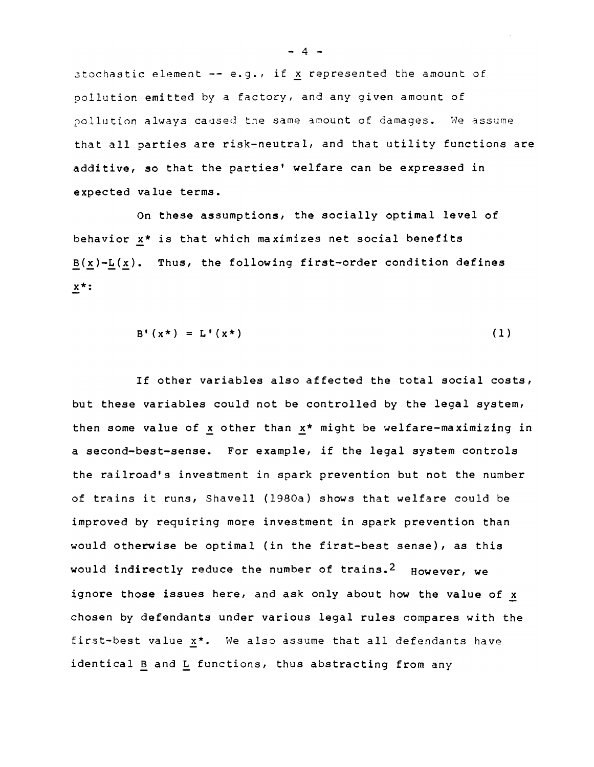$stochastic element -- e.g., if x represented the amount of$ pollution emitted by a factory, and any given amount of pollution always caused the same amount of damages. We assume that all parties are risk-neutral, and that utility functions are additive, so that the parties' welfare can be expressed in expected value terms.

On these assumptions, the socially optimal level of behavior x\* is that which maximizes net social benefits  $B(x)-L(x)$ . Thus, the following first-order condition defines x\*:

$$
B' (x^*) = L' (x^*)
$$
 (1)

If other variables also affected the total social costs, but these variables could not be controlled by the legal system, then some value of  $x$  other than  $x^*$  might be welfare-maximizing in a second-best-sense. For example, if the legal system controls the railroad's investment in spark prevention but not the number of trains it runs, Shavell (1980a) shows that welfare could be improved by requiring more investment in spark prevention than would otherwise be optimal (in the first-best sense), as this would indirectly reduce the number of trains.<sup>2</sup> However, we ignore those issues here, and ask only about how the value of x chosen by defendants under various legal rules compares with the first-best value x\*. We also assume that all defendants have identical B and  $L$  functions, thus abstracting from any

 $-4 -$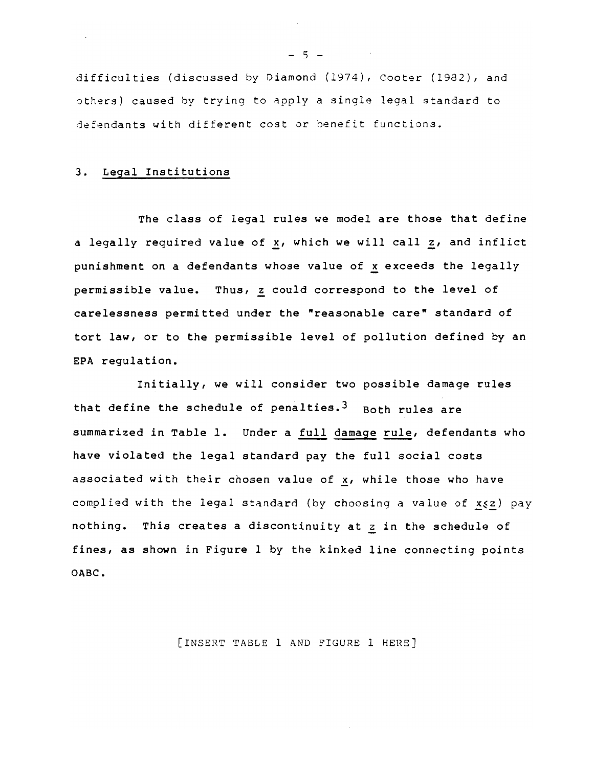difficulties (discussed by *Diamond* (1974), Cooter (1982), and others) caused by trying to apply a single legal standard to defendants with different cost or benefit functions.

### 3. Legal Institutions

The class of legal rules we model are those that define a legally required value of x, which we will call z, and inflict punishment on a defendants whose value of x exceeds the legally permissible value. Thus, z could correspond to the level of carelessness permitted under the "reasonable care" standard of tort law, or to the permissible *level* of pollution defined by an EPA regulation.

Initially, we will consider two possible damage rules that define the schedule of penalties.<sup>3</sup> Both rules are summarized *in* Table 1. Under a full damage rule, defendants who have violated the legal standard pay the full social costs associated with their chosen value of x, while those who have complied with the legal standard (by choosing a value of  $x \le 2$ ) pay nothing. This creates a discontinuity at z in the schedule of fines, as shown in Figure 1 by the kinked line connecting points OABC.

[INSERT TABLE 1 AND FIGURE 1 HERE]

 $- 5 -$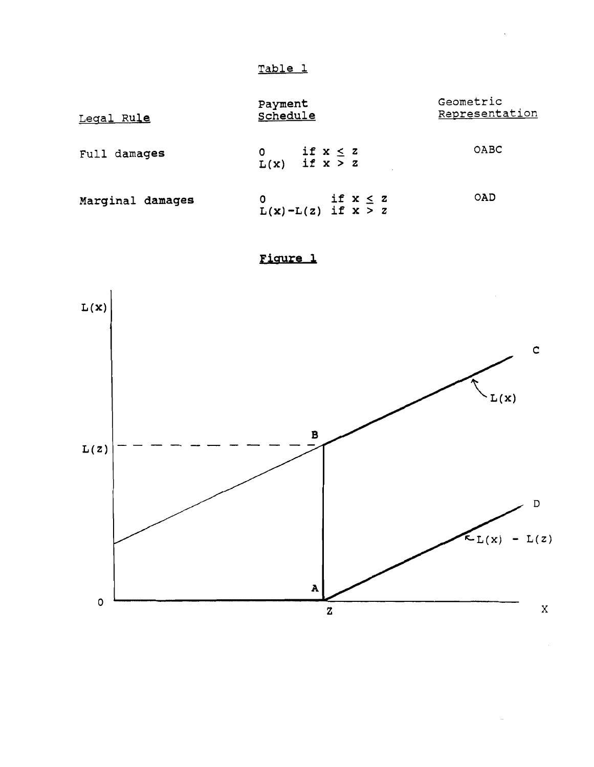| Legal Rule       | Payment<br>Schedule                               | Geometric<br>Representation |
|------------------|---------------------------------------------------|-----------------------------|
| Full damages     | if $x \le z$<br>$\mathbf{O}$<br>$L(x)$ if $x > z$ | OABC                        |
| Marginal damages | if $x \leq z$<br>0<br>$L(x) - L(z)$ if $x > z$    | OAD                         |

Figure 1



 $\hat{\mathcal{A}}$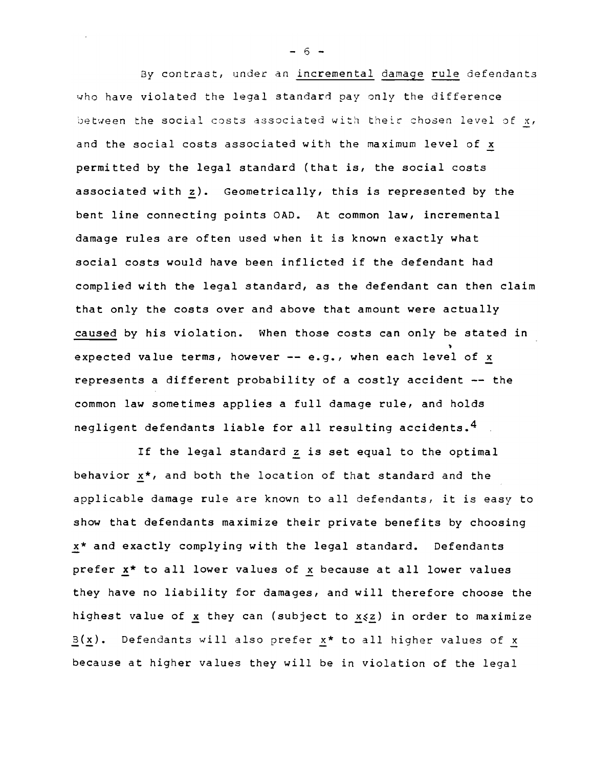By contrast, under an incremental damage rule defendants who have violated the legal standard pay only the difference between the social costs associated with theic chosen level of x, and the social costs associated with the maximum level of x permitted by the legal standard (that is, the social costs associated with  $z$ ). Geometrically, this is represented by the bent line connecting points OAD. At common law, incremental damage rules are often used when it is known exactly what social costs would have been inflicted if the defendant had complied with the legal standard, as the defendant can then claim that only the costs over and above that amount were actually caused by his violation. When those costs can only be stated in expected value terms, however  $--$  e.g., when each level of x represents a different probability of a costly accident -- the common law sometimes applies a full damage rule, and holds negligent defendants liable for all resulting accidents. <sup>4</sup>

If the legal standard z is set equal to the optimal behavior  $\underline{x}^*$ , and both the location of that standard and the applicable damage rule are known to all defendants, it is easy to show that defendants maximize their private benefits by choosing x\* and exactly complying with the legal standard. Defendants prefer x\* to all lower values of x because at all lower values they have no liability for damages, and will therefore choose the highest value of x they can (subject to  $x \le z$ ) in order to maximize  $B(x)$ . Defendants will also prefer x\* to all higher values of x because at higher values they will be in violation of the legal

- 6 -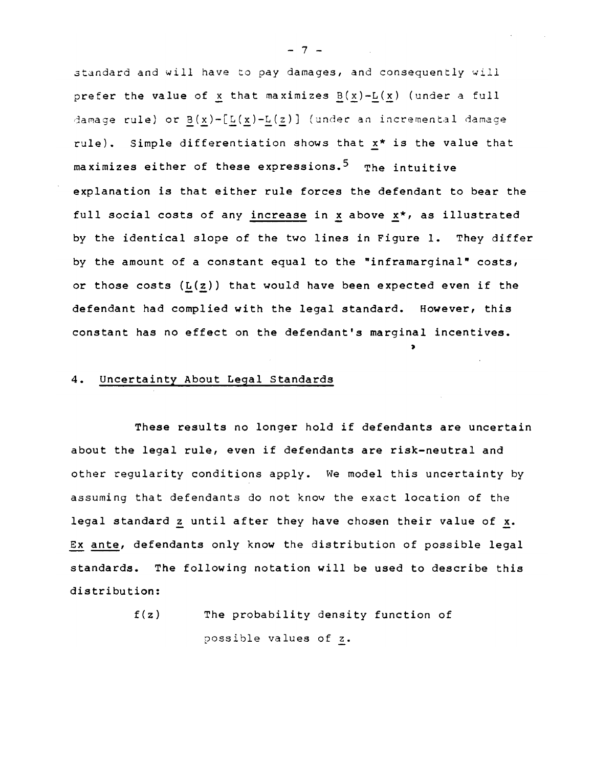standard and will have to pay damages, and consequently *will*  prefer the value of x that maximizes  $B(x)-L(x)$  (under a full damage rule) or  $B(x)-[L(x)-L(z)]$  (under an incremental damage rule). Simple differentiation shows that  $x*$  is the value that maximizes either of these expressions.<sup>5</sup> The intuitive explanation is that either rule forces the defendant to bear the full social costs of any increase in x above x\*, as illustrated by the identical slope of the two lines in Figure 1. They differ by the amount of a constant equal to the "inframarginal" costs, or those costs  $(L(z))$  that would have been expected even if the defendant had complied with the legal standard. However, this constant has no effect on the defendant's marginal incentives.

~

#### 4. Uncertainty About Legal Standards

These results no longer hold if defendants are uncertain about the legal rule, even if defendants are risk-neutral and other regularity conditions apply. We model this uncertainty by assuming that defendants do not know the exact location of the legal standard z until after they have chosen their value of x. Ex ante, defendants only know the distribution of possible legal standards. The following notation will be used to describe this distribution:

> f(z) The probability density function of possible values of z.

- 7 -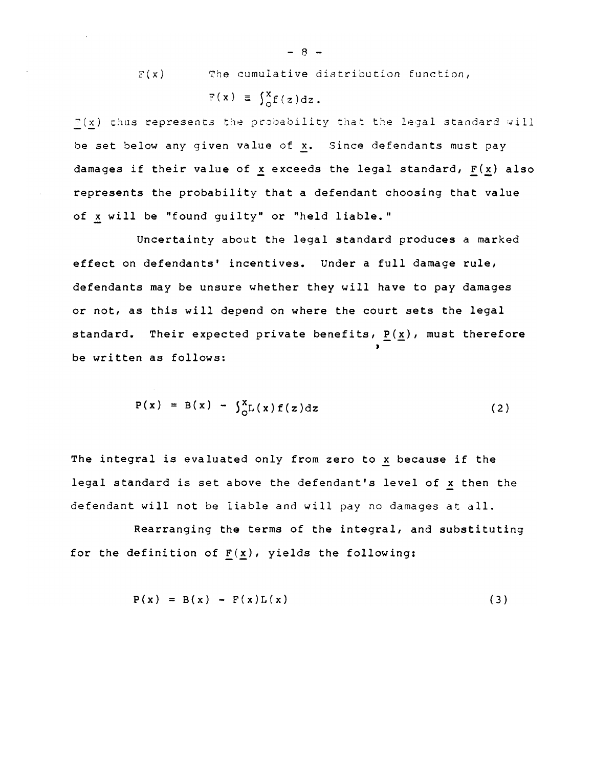$F(x)$  The cumulative distribution function,  $F(x) \equiv \int_{0}^{x} f(z) dz$ .

 $F(x)$  thus represents the probability that the legal standard will be set below any given value of x. Since defendants must pay damages if their value of x exceeds the legal standard,  $F(x)$  also represents the probability that a defendant choosing that value of x will be "found guilty" or "held liable."

Uncertainty about the legal standard produces a marked effect on defendants' incentives. Under a full damage rule, defendants may be unsure whether they will have to pay damages or not, as this will depend on where the court sets the legal standard. Their expected private benefits,  $\underline{P(x)}$ , must therefore be written as follows:

$$
P(x) = B(x) - \int_{0}^{x} L(x) f(z) dz
$$
 (2)

The integral is evaluated only from zero to x because if the legal standard is set above the defendant's level of x then the defendant will not be liable and will pay no damages at all.

Rearranging the terms of the integral, and substituting for the definition of  $F(x)$ , yields the following:

$$
P(x) = B(x) - F(x)L(x)
$$
 (3)

 $-8 -$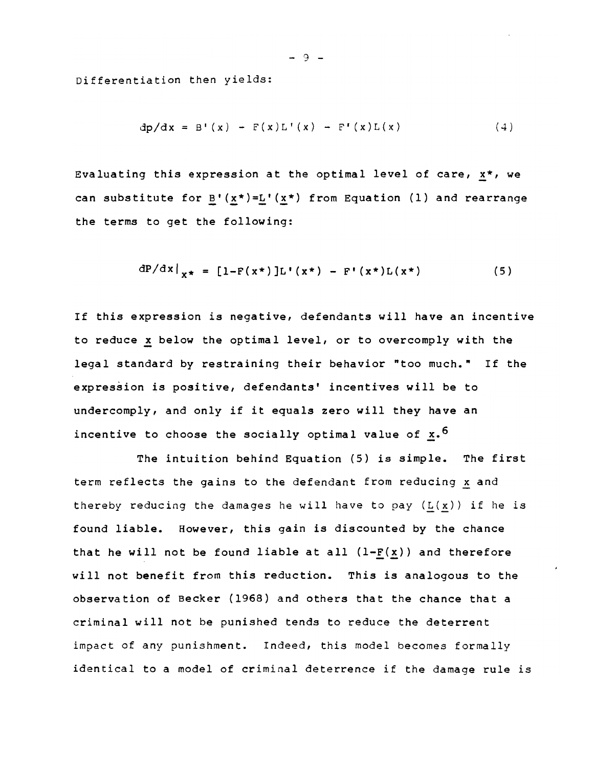Differentiation then yields:

$$
dp/dx = B'(x) - F(x)L'(x) - F'(x)L(x)
$$
 (4)

Evaluating this expression at the optimal level of care, x\*, we can substitute for  $B'(x*)=L'(x*)$  from Equation (1) and rearrange the terms to get the following:

$$
dP/dx|_{x^*} = [1 - F(x^*)]L'(x^*) - F'(x^*)L(x^*)
$$
 (5)

If this expression is negative, defendants will have an incentive to reduce x below the optimal level, or to overcomply with the legal standard by restraining their behavior "too much." If the expression is positive, defendants' incentives will be to undercomply, and only if it equals zero will they have an incentive to choose the socially optimal value of  $x.\,6$ 

The intuition behind Equation (5) is simple. The first term reflects the gains to the defendant from reducing x and thereby reducing the damages he will have to pay  $(L(x))$  if he is found liable. However, this gain is discounted by the chance that he will not be found liable at all  $(l-F(x))$  and therefore will not benefit from this reduction. This is analogous to the observation of Becker (1968) and others that the chance that a criminal will not be punished tends to reduce the deterrent impact of any punishment. Indeed, this model becomes formally identical to a model of criminal deterrence if the damage rule is

- 9 -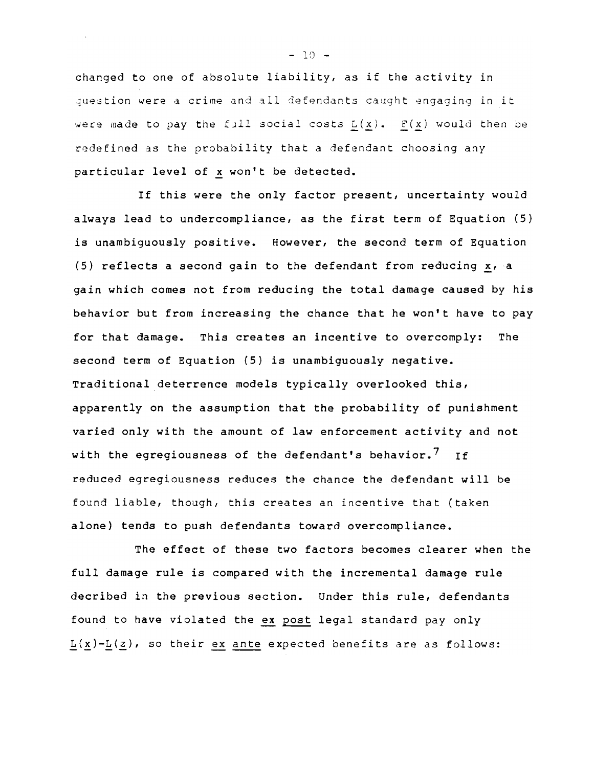changed to one of absolute liability, as if the activity in question were a crime and all defendants caught engaging in it were made to pay the full social costs  $L(x)$ . F(x) would then be redefined as the probability that a defendant choosing any particular level of x won't be detected.

If this were the only factor present, uncertainty would always lead to undercompliance, as the first term of Equation (5) is unambiguously positive. However, the second term of Equation (5) reflects a second gain to the defendant from reducing  $x_i$  a gain which comes not from reducing the total damage caused by his behavior but from increasing the chance that he won't have to pay for that damage. This creates an incentive to overcomply: The second term of Equation (5) is unambiguously negative. Traditional deterrence models typically overlooked this, apparently on the assumption that the probability of punishment varied only with the amount of law enforcement activity and not with the egregiousness of the defendant's behavior.<sup>7</sup> If reduced egregiousness reduces the chance the defendant will be found liable, though, this creates an incentive that (taken alone) tends to push defendants toward overcompliance.

The effect of these two factors becomes clearer when the full damage rule is compared with the incremental damage rule decribed in the previous section. Under this rule, defendants found to have violated the ex post legal standard pay only  $L(x)-L(z)$ , so their <u>ex</u> ante expected benefits are as follows:

 $-10 -$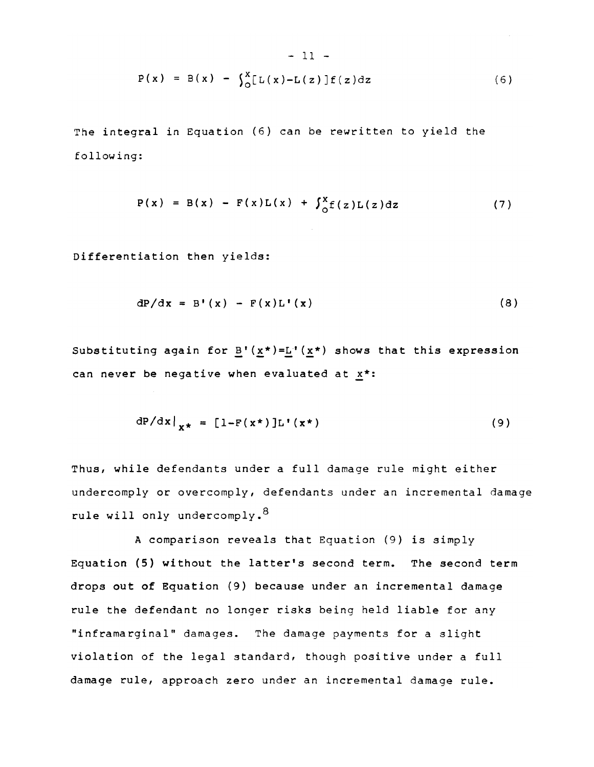$$
- 11 -
$$
  
P(x) = B(x) -  $\int_{0}^{x} [L(x) - L(z)] f(z) dz$  (6)

The integral in Equation (6) can be rewritten to yield the following:

$$
P(x) = B(x) - F(x)L(x) + \int_{0}^{x} f(z)L(z) dz
$$
 (7)

Differentiation then yields:

$$
dP/dx = B'(x) - F(x)L'(x)
$$
 (8)

Substituting again for  $B'$  ( $x^*$ )=L<sup>+</sup> ( $x^*$ ) shows that this expression can never be negative when evaluated at  $x^*$ :

$$
dP/dx|_{X^*} = [1 - F(x^*)]L'(x^*)
$$
 (9)

Thus, while defendants under a full damage rule might either undercomply or overcomply, defendants under an incremental damage rule will only undercomply.<sup>8</sup>

A comparison reveals that Equation (9) is simply Equation (5) without the latter's second term. The second term drops out of Equation (9) because under an incremental damage rule the defendant no longer risks being held liable for any "inframarginal" damages. The damage payments for a slight violation of the legal standard, though positive under a full damage rule, approach zero under an incremental damage rule.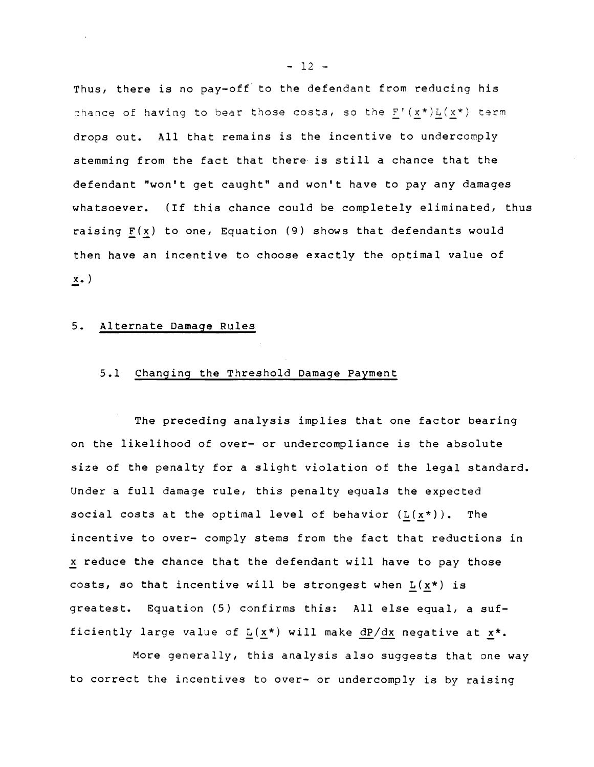Thus, there is no pay-off to the defendant from reducing his chance of having to bear those costs, so the  $F'(x*)L(x*)$  term drops out. All that remains is the incentive to undercomply stemming from the fact that there is still a chance that the defendant "won't get caught" and won't have to pay any damages whatsoever. (If this chance could be completely eliminated, thus raising  $F(x)$  to one, Equation (9) shows that defendants would then have an incentive to choose exactly the optimal value of  $x.$ )

#### 5. Alternate Damage Rules

#### *5.1* Changing the Threshold Damage Payment

The preceding analysis implies that one factor bearing on the likelihood of over- or undercompliance is the absolute size of the penalty for a slight violation of the legal standard. Under a full damage rule, this penalty equals the expected social costs at the optimal level of behavior  $(L(x^*))$ . The incentive to over- comply stems from the fact that reductions in x reduce the chance that the defendant will have to pay those costs, so that incentive will be strongest when  $L(x*)$  is greatest. Equation (5) confirms this: All else equal, a sufficiently large value of  $L(x*)$  will make dP/dx negative at  $x^*$ .

More generally, this analysis also suggests that one way to correct the incentives to over- or undercomply is by raising

 $- 12 -$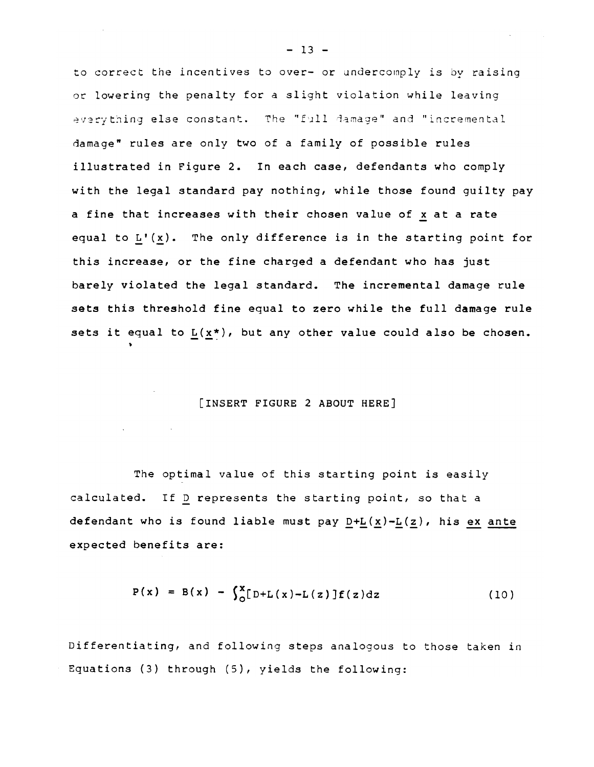to *coccect* the incentives to *ovec- oc* undeccornply *is* by caising *oc* lowering the penalty foe a slight violation while leaving everything else constant. The "full damage" and "incremental damage" rules are only two of a family of possible rules illustrated in Figure 2. In each case, defendants who comply with the legal standard pay nothing, while those found guilty pay a fine that increases with their chosen value of  $x$  at a rate equal to  $L'(x)$ . The only difference is in the starting point for this increase, or the fine charged a defendant who has just barely violated the legal standard. The incremental damage rule sets this threshold fine equal to zero while the full damage rule sets it equal to  $L(x*)$ , but any other value could also be chosen.

#### [INSERT FIGURE 2 ABOUT HERE]

~

The optimal value of this starting point is easily calculated. If D represents the starting point, so that a defendant who is found liable must pay  $D+L(x)-L(z)$ , his ex ante expected benefits are:

$$
P(x) = B(x) - \int_{0}^{x} [D+L(x)-L(z)]f(z)dz
$$
 (10)

Differentiating, and following steps analogous to those taken in Equations (3) through (5), *yields* the following:

 $- 13 -$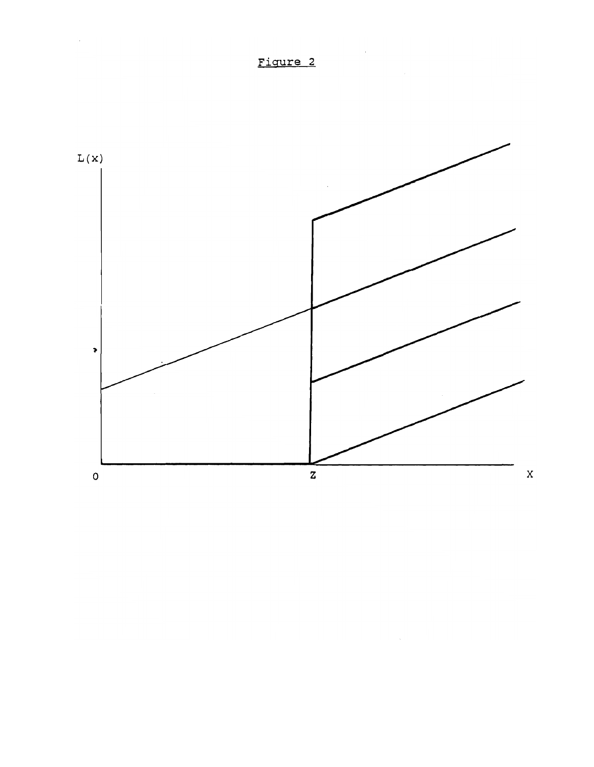

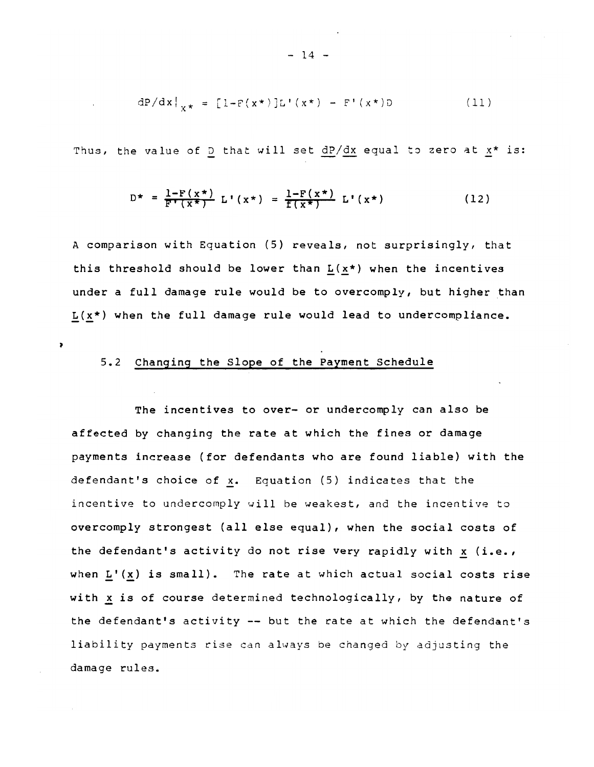$$
dP/dx|_{y*} = [1 - F(x*)]L'(x*) - F'(x*)D
$$
 (11)

Thus, the value of D that will set  $dP/dx$  equal to zero at  $x*$  is:

$$
D^{\star} = \frac{1 - F(x^{\star})}{F^{\star}(x^{\star})} L^{\star}(x^{\star}) = \frac{1 - F(x^{\star})}{f(x^{\star})} L^{\star}(x^{\star})
$$
(12)

A comparison with Equation (5) reveals, not surprisingly, that this threshold should be lower than  $L(x*)$  when the incentives under a full damage rule would be to overcomply, but higher than  $L(x*)$  when the full damage rule would lead to undercompliance.

### 5.2 Changing the Slope of the Payment Schedule

 $\lambda$ 

The incentives to over- or undercomply can also be affected by changing the rate at which the fines or damage payments increase (for defendants who are found liable) with the defendant's choice of x. Equation (5) indicates that the incentive to undercomply will be weakest, and the incentive to overcomply strongest (all else equal), when the social costs of the defendant's activity do not rise very rapidly with  $x$  (i.e., when  $L'(x)$  is small). The rate at which actual social costs rise with x is of course determined technologically, by the nature of the defendant's activity -- but the rate at which the defendant's liability payments rise can always be changed by adjusting the damage rules.

 $- 14 -$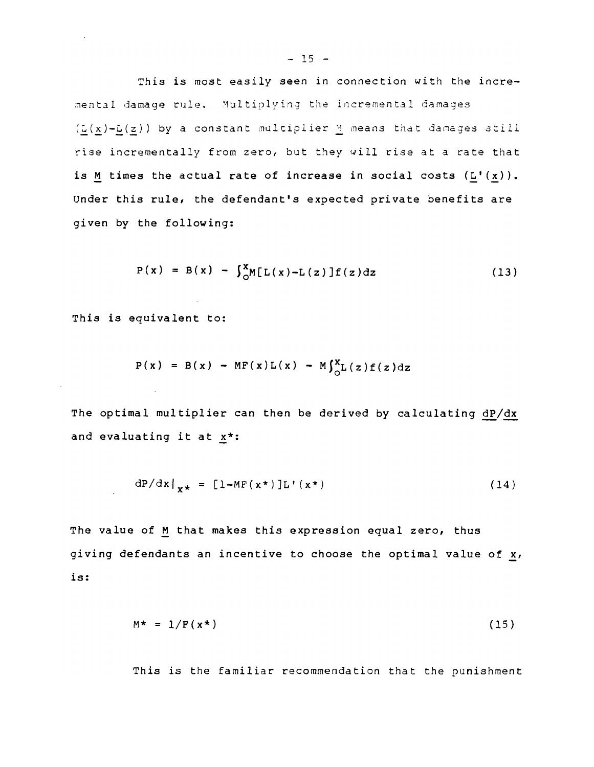*This is* most easily seen *in* connection with the incre mental damage rule. Multiplying the incremental damages  $(\underline{L}(x)-\underline{L}(z))$  by a constant multiplier  $\underline{M}$  means that damages still rise incrementally from zero, but they will rise at a rate that is  $M$  times the actual rate of increase in social costs  $(L'(x))$ . Under this rule, the defendant's expected private benefits are given by the following:

$$
P(x) = B(x) - \int_{0}^{x} M[L(x) - L(z)]f(z) dz
$$
 (13)

This is equivalent to:

$$
P(x) = B(x) - MF(x)L(x) - M\int_{0}^{x}L(z)f(z)dz
$$

The optimal multiplier can then be derived by calculating dP/dx and evaluating it at  $x^*$ :

$$
dP/dx|_{x*} = [1-MF(x*)]L'(x*)
$$
 (14)

The value of M that makes this expression equal zero, thus giving defendants an incentive to choose the optimal value of  $x<sub>l</sub>$ , is:

$$
M^* = 1/F(x^*)
$$
 (15)

This *is* the familiar recommendation that the punishment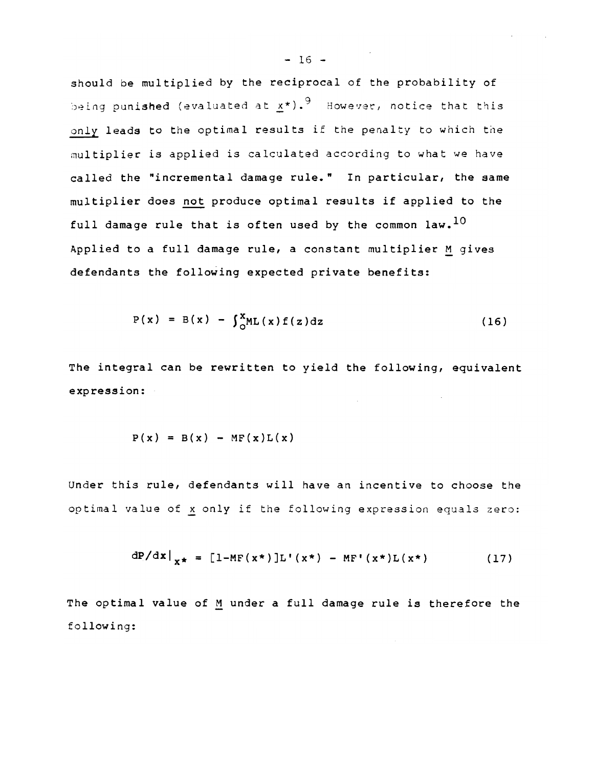should be multiplied by the reciprocal of the probability of being punished (evaluated at  $x*$ ).<sup>9</sup> However, notice that this only leads to the optimal results if the penalty to which the multiplier is applied is calculated according to what we have called the "incremental damage rule." In particular, the same multiplier does not produce optimal results if applied to the full damage rule that is often used by the common law.  $^{10}$ Applied to a full damage rule, a constant multiplier M gives defendants the following expected private benefits:

$$
P(x) = B(x) - \int_{0}^{x} ML(x) f(z) dz
$$
 (16)

The integral can be rewritten to yield the following, equivalent expression:

$$
P(x) = B(x) - MF(x)L(x)
$$

Under this rule, defendants will have an incentive to choose the optimal value of x only if the following expression equals zero:

$$
dP/dx|_{x*} = [1-MF(x*)]L'(x*) - MF'(x*)L(x*)
$$
 (17)

The optimal value of M under a full damage rule is therefore the following: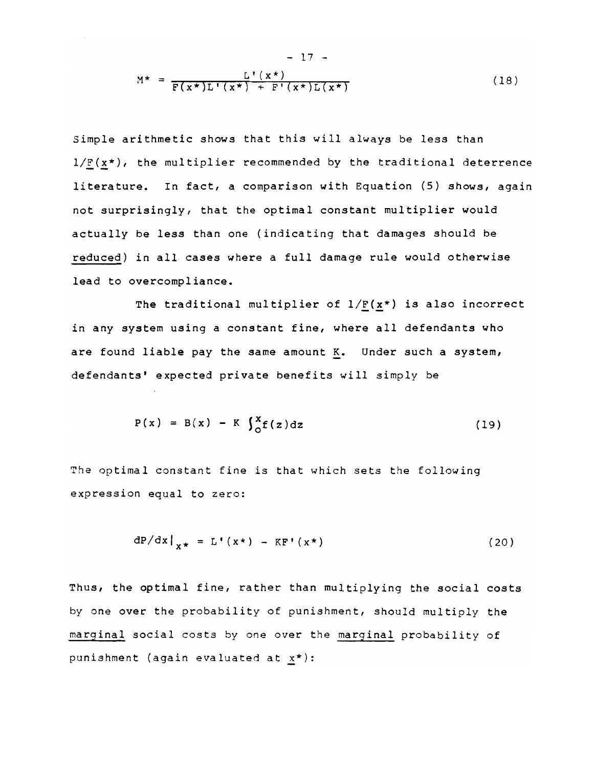$$
M^* = \frac{L'(\mathbf{x}^*)}{F(\mathbf{x}^*)L'(\mathbf{x}^*) + F'(\mathbf{x}^*)L(\mathbf{x}^*)}
$$
(18)

Simple arithmetic shows that this will always be less than  $1/F(x*)$ , the multiplier recommended by the traditional deterrence literature. In fact, a comparison with Equation (S) shows, again not surprisingly, that the optimal constant multiplier would actually be less than one (indicating that damages should be reduced) in all cases where a full damage rule would otherwise lead to overcompliance.

The traditional multiplier of  $1/\underline{F}(x^*)$  is also incorrect in any system using a constant fine, where all defendants who are found liable pay the same amount K. Under such a system, defendants' expected private benefits will simply be

$$
P(x) = B(x) - K \int_{0}^{x} f(z) dz
$$
 (19)

The optimal constant fine is that which sets the following expression equal to zero:

$$
dP/dx|_{x^*} = L'(x^*) - KF'(x^*)
$$
 (20)

Thus, the optimal fine, rather than multiplying the social costs by one over the probability of punishment, should multiply the marginal social costs by one over the marginal probability of punishment (again evaluated at  $\underline{x}^*$ ):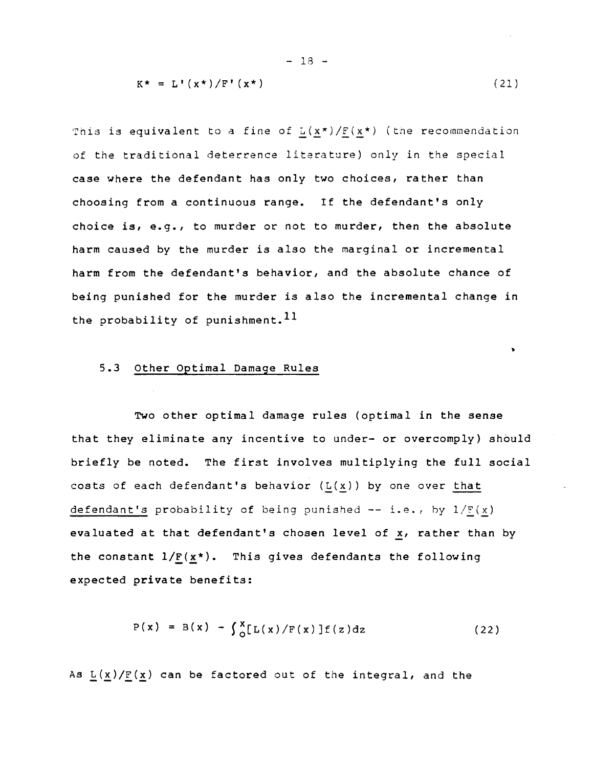$$
K^* = L^*(x^*)/F^*(x^*)
$$
 (21)

 $\bullet$ 

- 18 -

This is equivalent to a fine of  $L(x*)/E(x*)$  (the recommendation<br>of the traditional deterrence literature) only in the special case where the defendant has only two choices, rather than choosing from a continuous range. If the defendant's only choice is, e.g., to murder or not to murder, then the absolute harm caused by the murder is also the marginal or incremental harm from the defendant's behavior, and the absolute chance of being punished for the murder is also the incremental change in the probability of punishment.<sup>11</sup>

#### 5.3 other Optimal Damage Rules

Two other optimal damage rules (optimal in the sense that they eliminate any incentive to under- or overcomply) should briefly be noted. The first involves multiplying the full social costs of each defendant's behavior  $(L(x))$  by one over that defendant's probability of being punished -- i.e., by  $1/F(x)$ evaluated at that defendant's chosen level of  $\underline{x}$ , rather than by the constant  $1/\underline{F}(\underline{x}^*)$ . This gives defendants the following expected private benefits:

$$
P(x) = B(x) - \int_{0}^{x} [L(x)/F(x)]f(z)dz
$$
 (22)

As  $L(x)/E(x)$  can be factored out of the integral, and the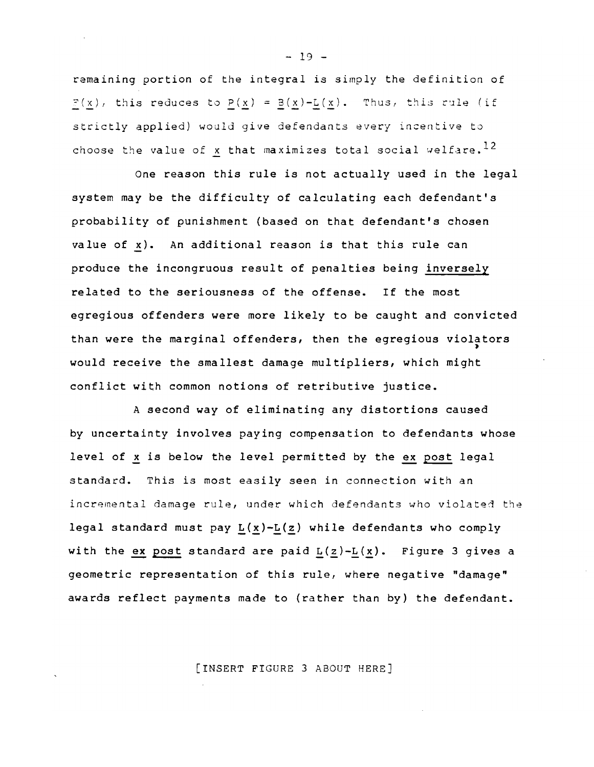remaining portion of the integral is simply the definition of  $\frac{P(x)}{P(x)}$ , this reduces to  $P(x) = B(x) - L(x)$ . Thus, this rule (if strictly applied) would give defendants every incentive *to*  choose the value of x that maximizes total social welfare.<sup>12</sup>

One reason this rule *is* not actually used *in* the legal system may be the difficulty of calculating each defendant's probability of punishment (based on that defendant's chosen value of  $x$ ). An additional reason is that this rule can produce the incongruous result of penalties being inversely related to the seriousness of the offense. If the most egregious offenders were more *likely* to be caught and convicted than were the marginal offenders, then the egregious violators would receive the smallest damage multipliers, which might conflict with common notions of retributive justice.

A second way of eliminating any distortions caused by uncertainty involves paying compensation to defendants whose level of x is below the level permitted by the ex post legal standard. This is most easily seen in connection with an incremental damage rule, under which defendants who violated the legal standard must pay  $L(x)-L(z)$  while defendants who comply with the ex post standard are paid  $L(z)-L(x)$ . Figure 3 gives a geometric representation of this rule, where negative "damage" awards reflect payments made to (rather than by) the defendant.

[INSERT FIGURE 3 ABOUT HERE]

 $- 19 -$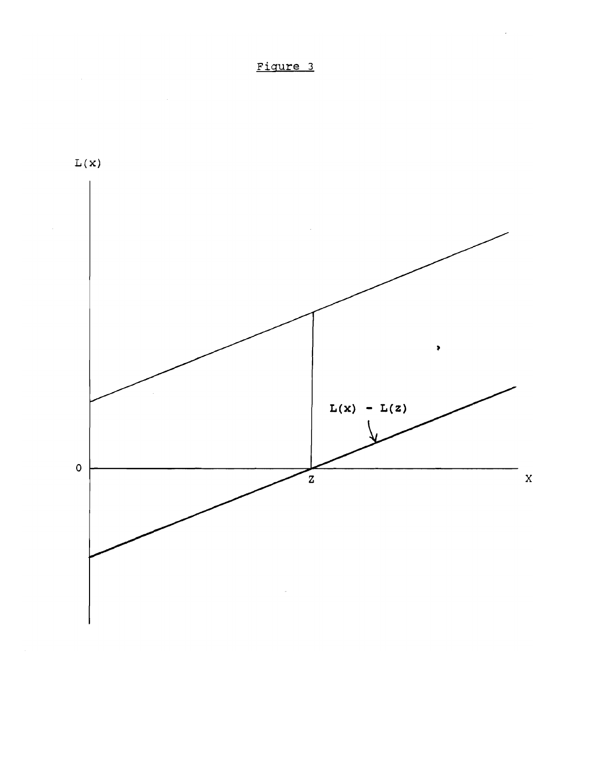



 $\hat{\boldsymbol{\beta}}$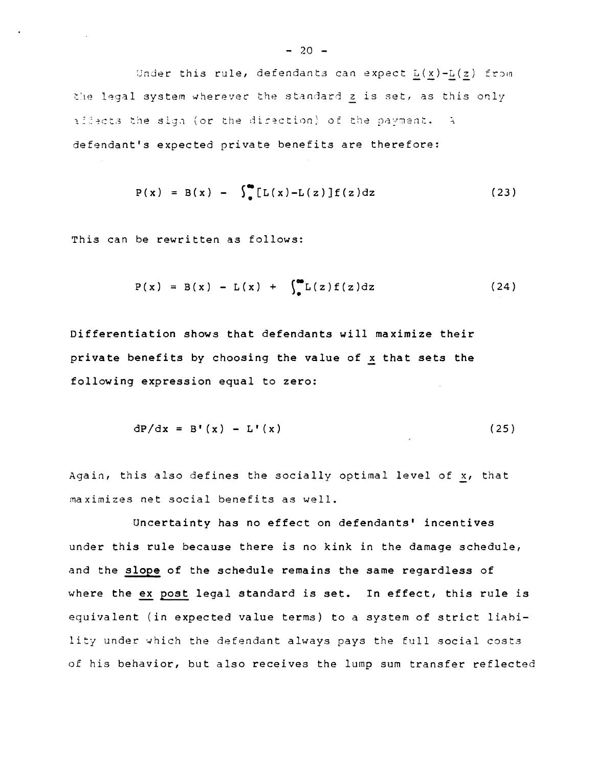Under this rule, defendants can expect  $L(x)-L(z)$  from the legal system wherever the standard z is set, as this only allects the sign (or the direction) of the payment. A defendant's expected private benefits are therefore:

$$
P(x) = B(x) - \int_{0}^{\infty} [L(x) - L(z)] f(z) dz
$$
 (23)

This can be rewritten as follows:

$$
P(x) = B(x) - L(x) + \int_{0}^{\infty} L(z) f(z) dz
$$
 (24)

Differentiation shows that defendants will maximize their private benefits by choosing the value of x that sets the following expression equal to zero:

$$
dP/dx = B'(x) - L'(x)
$$
 (25)

Again, this also defines the socially optimal level of  $x_i$ , that maximizes net social benefits as well.

uncertainty has no effect on defendants' incentives under this rule because there is no kink in the damage schedule, and the slope of the schedule remains the same regardless of where the ex post legal standard is set. In effect, this rule is equivalent (in expected value terms) to a system of strict linbility under which the defendant always pays the full social costs of his behavior, but also receives the lump sum transfer reflected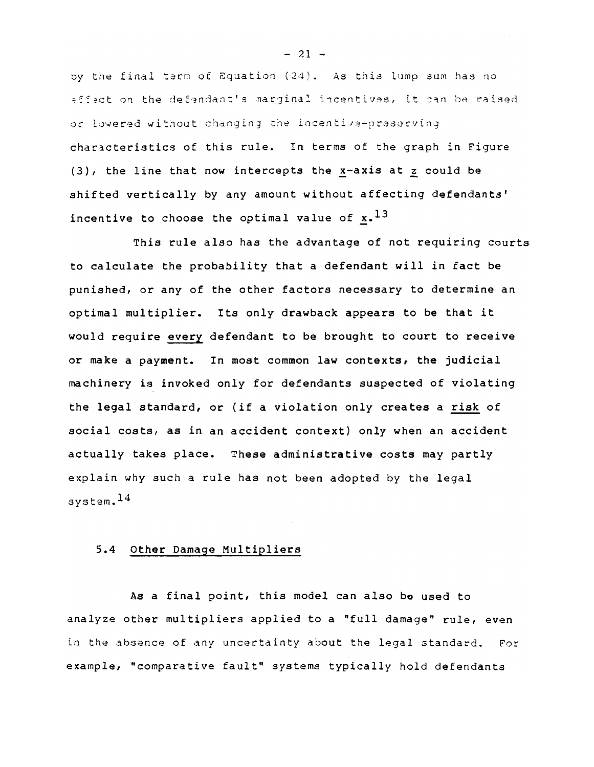by the final term of Equation  $(24)$ . As this lump sum has no  $e^{if}$ ect on the defendant's marginal incentives, it can be raised or lowered without changing the incentiva-prasecving characteristics of this rule. In terms of the graph in Figure (3), the line that now intercepts the x-axis at z could be shifted vertically by any amount without affecting defendants' incentive to choose the optimal value of  $x.$ <sup>13</sup>

This rule also has the advantage of not requiring courts to calculate the probability that a defendant will in fact be punished, or any of the other factors necessary to determine an optimal multiplier. Its only drawback appears to be that it would require every defendant to be brought to court to receive or make a payment. In most common law contexts, the judicial machinery is invoked only for defendants suspected of violating the legal standard, or (if a violation only creates a risk of social costs, as in an accident context) only when an accident actually takes place. These administrative costs may partly explain why such a rule has not been adopted by the legal system. 14

### 5.4 Other Damage Multipliers

As a final point, this model can also be used to analyze other multipliers applied to a "full damage" rule, even in the absence of any uncertainty about the legal standard. For example, "comparative fault" systems typically hold defendants

 $- 21 -$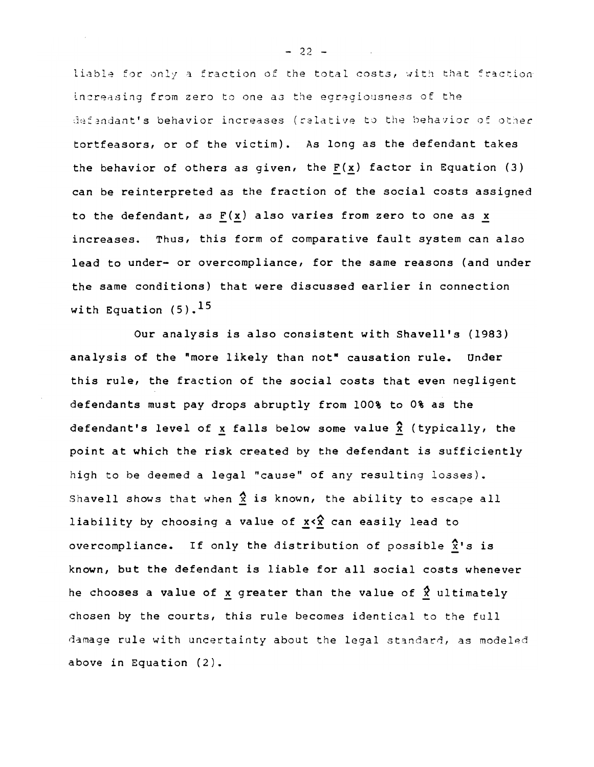liable for only a fraction of the total costs, with that fraction increasing from zero to one as the egregiousness of the defandant's behavior increases (relative to the behavior of other tortfeasors, or of the victim). As long as the defendant takes the behavior of others as given, the  $F(x)$  factor in Equation (3) can be reinterpreted as the fraction of the social costs assigned to the defendant, as  $F(x)$  also varies from zero to one as x increases. Thus, this form of comparative fault system can also lead to under- or overcompliance, for the same reasons (and under the same conditions) that were discussed earlier in connection with Equation  $(5)$ .<sup>15</sup>

Our analysis is also consistent with Shavell's (1983) analysis of the "more likely than not" causation rule. Under this rule, the fraction of the social costs that even negligent defendants must pay drops abruptly from 100% to 0% as the defendant's level of x falls below some value  $\hat{x}$  (typically, the point at which the risk created by the defendant *is* sufficiently high to be deemed a legal "cause" of any resulting losses). Shavell shows that when  $\hat{x}$  is known, the ability to escape all liability by choosing a value of  $x \leq x^2$  can easily lead to overcompliance. If only the distribution of possible  $\hat{x}$ 's is known, but the defendant is liable for all social costs whenever he chooses a value of x greater than the value of  $\hat{x}$  ultimately chosen by the courts, this rule becomes identical to the full damage rule with uncertainty about the legal standard, as modeled above in Equation (2).

 $-22 -$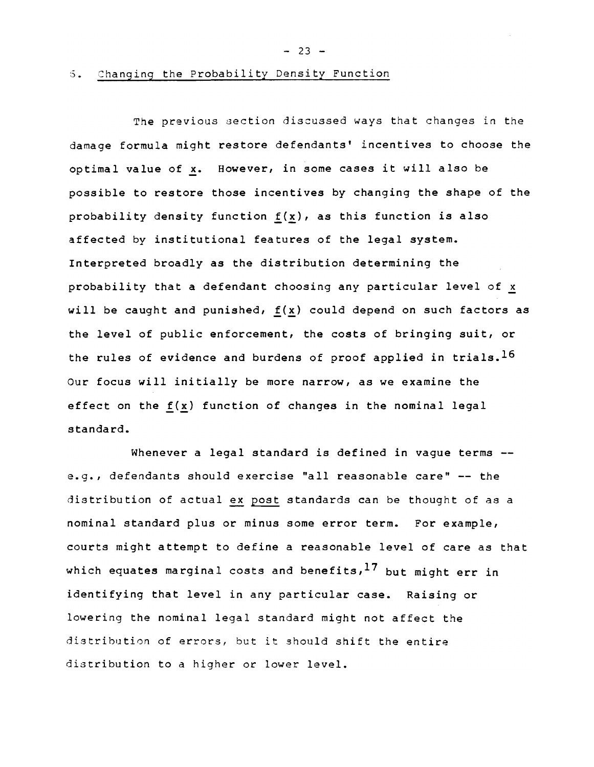$- 23 -$ 

The previous section discussed ways that changes in the damage formula might restore defendants' incentives to choose the optimal value of x. However, in some cases it will also be possible to restore those incentives by changing the shape of the probability density function  $f(x)$ , as this function is also affected by institutional features of the legal system. Interpreted broadly as the distribution determining the probability that a defendant choosing any particular level of x will be caught and punished,  $f(x)$  could depend on such factors as the level of public enforcement, the costs of bringing suit, or the rules of evidence and burdens of proof applied *in* trials. <sup>16</sup> Our focus will initially be more narrow, as we examine the effect on the  $f(x)$  function of changes in the nominal legal standard.

Whenever a legal standard is defined *in* vague terms - e.g., defendants should exercise "all reasonable care" -- the distribution of actual ex post standards can be thought of as a nominal standard plus or minus some error term. For example, courts might attempt to define a reasonable level of care as that which equates marginal costs and benefits,  $17$  but might err in identifying that level in any particular case. Raising or lowering the nominal legal standard might not affect the distribution of errors, but it should shift the entire distribution to a higher or lower level.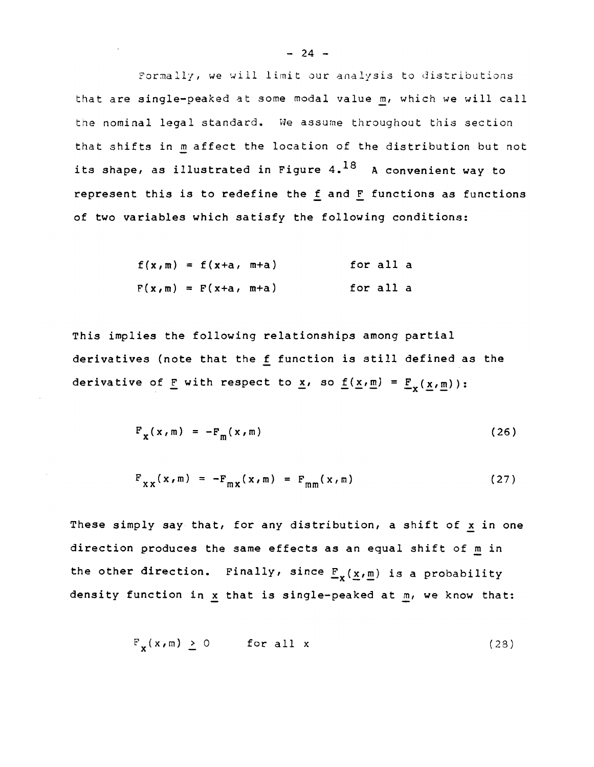Formally, we will limit our analysis to distributions that are single-peaked at some modal value m, which we will call the nominal legal standard. We assume throughout this section that shifts in m affect the location of the distribution but not its shape, as illustrated in Figure  $4.^{18}$  A convenient way to

represent this is to redefine the  $f$  and  $F$  functions as functions of two variables which satisfy *the* following conditions:

$$
f(x,m) = f(x+a, m+a)
$$
 for all a  

$$
F(x,m) = F(x+a, m+a)
$$
 for all a

This implies *the* following relationships among partial derivatives (note that *the* f function is still defined as *the*  derivative of F with respect to  $\underline{x}$ , so  $\underline{f}(\underline{x}, \underline{m}) = \underline{F}_x(\underline{x}, \underline{m}))$ :

$$
F_x(x,m) = -F_m(x,m) \tag{26}
$$

$$
F_{xx}(x,m) = -F_{mx}(x,m) = F_{mm}(x,m)
$$
 (27)

These simply say that, for any distribution, a shift of x in one direction produces *the* same effects as an equal shift of m in the other direction. Finally, since  $\underline{F}_{\mathbf{v}}(x,m)$  is a probability density function in  $x$  that is single-peaked at  $m$ , we know that:

$$
\mathbf{F}_{\mathbf{x}}(\mathbf{x}, \mathbf{m}) \geq 0 \quad \text{for all } \mathbf{x} \tag{28}
$$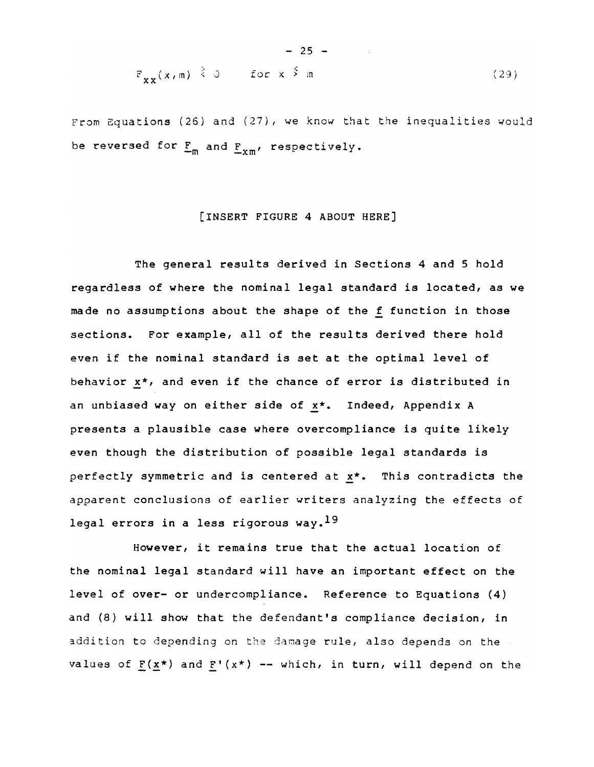$$
F_{xx}(x,m) \stackrel{>}{\leq} 0 \quad \text{for } x \stackrel{<}{\geq} m \tag{29}
$$

 $-25 -$ 

From Equations (26) and (27), we know that the inequalities would be reversed for  $F_m$  and  $F_{vm}$ , respectively.

#### [INSERT FIGURE 4 ABOUT HERE]

The general results derived in Sections 4 and 5 hold regardless of where the nominal legal standard is located, as we made no assumptions about the shape of the f function in those sections. For example, all of the results derived there hold even if the nominal standard is set at the optimal level of behavior x\*, and even if the chance of error is distributed in an unbiased way on either side of x\*. Indeed, Appendix A presents a plausible case where overcompliance is quite likely even though the distribution of possible legal standards is perfectly symmetric and is centered at x\*. This contradicts the apparent conclusions of earlier writers analyzing the effects of legal errors in a less rigorous way.<sup>19</sup>

However, it remains true that the actual location of the nominal legal standard will have an important effect on the level of over- or undercompliance. Reference to Equations (4) and (8) will show that the defendant's compliance decision, in addition to depending on the damage rule, also depends on the values of  $F(x*)$  and  $F'(x*)$  -- which, in turn, will depend on the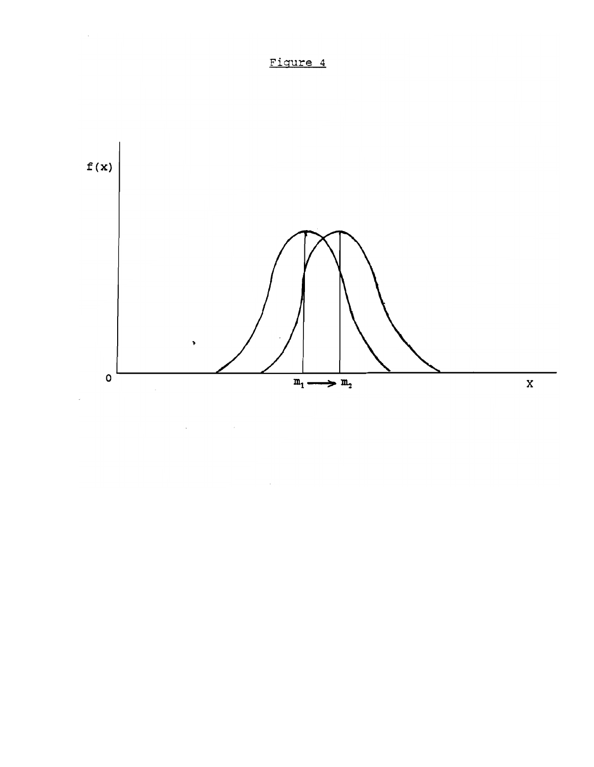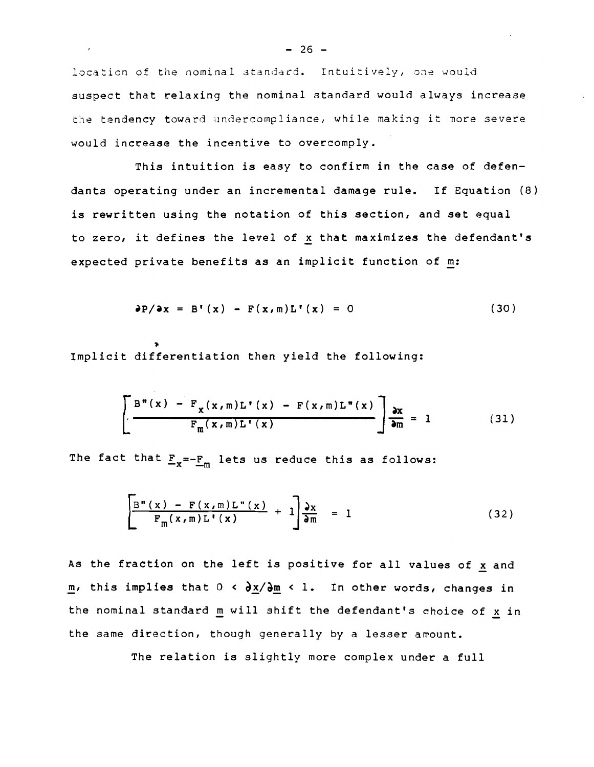location of the nominal standard. Intuitively, one would suspect that relaxing the nominal standard would always increase the tendency toward undercompliance, while making it more severe would increase the incentive to overcomply.

This intuition is easy to confirm in the case of defendants operating under an incremental damage rule. If Equation (8) is rewritten using the notation of this section, and set equal to zero, it defines the level of  $\underline{x}$  that maximizes the defendant's expected private benefits as an implicit function of m:

$$
\partial P/\partial x = B'(x) - F(x,m)L'(x) = 0
$$
 (30)

Implicit differentiation then yield the following:

$$
\left[\frac{B^{m}(x) - F_{X}(x,m)L^{n}(x) - F(x,m)L^{m}(x)}{F_{m}(x,m)L^{n}(x)}\right]\frac{\partial x}{\partial m} = 1
$$
 (31)

The fact that  $\underline{F}_x = -\underline{F}_m$  lets us reduce this as follows:

$$
\left[\frac{\mathbf{B}''(x) - \mathbf{F}(x, m)\mathbf{L}''(x)}{\mathbf{F}_m(x, m)\mathbf{L}'(x)} + 1\right]\frac{\partial x}{\partial m} = 1
$$
\n(32)

As the fraction on the left is positive for all values of  $x$  and m, this implies that  $0 < \frac{\partial x}{\partial m} < 1$ . In other words, changes in the nominal standard  $\underline{m}$  will shift the defendant's choice of  $\underline{x}$  in the same direction, though generally by a lesser amount.

The relation is slightly more complex under a full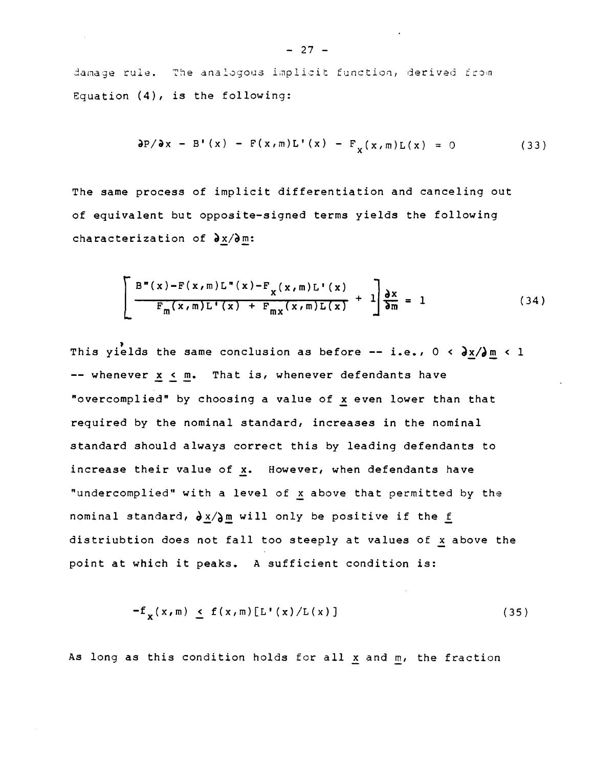damage rule. The analogous implicit function, derived from Equation (4), is the following:

$$
\frac{\partial P}{\partial x} - B'(x) - F(x, m)L'(x) - F_x(x, m)L(x) = 0
$$
 (33)

The same process of implicit differentiation and canceling out of equivalent but opposite-signed terms yields the following characterization of  $\partial x/\partial m$ :

$$
\left[\frac{B^{m}(x)-F(x,m)L^{m}(x)-F_{x}(x,m)L^{m}(x)}{F_{m}(x,m)L^{m}(x)+F_{mx}(x,m)L(x)}+1\right]\frac{\partial x}{\partial m}=1
$$
\n(34)

This yields the same conclusion as before -- i.e.,  $0 < \partial x / \partial m < 1$ -- whenever x < m. That is, whenever defendants have "overcomplied" by choosing a value of x even lower than that required by the nominal standard, increases in the nominal standard should always correct this by leading defendants to increase their value of  $x$ . However, when defendants have "undercomplied" with a level of x above that permitted by the nominal standard,  $\partial x/\partial m$  will only be positive if the f distriubtion does not fall too steeply at values of x above the point at which it peaks. A sufficient condition is:

$$
-f_{\mathbf{v}}(x,m) \le f(x,m)[L'(x)/L(x)] \qquad (35)
$$

As long as this condition holds for all x and m, the fraction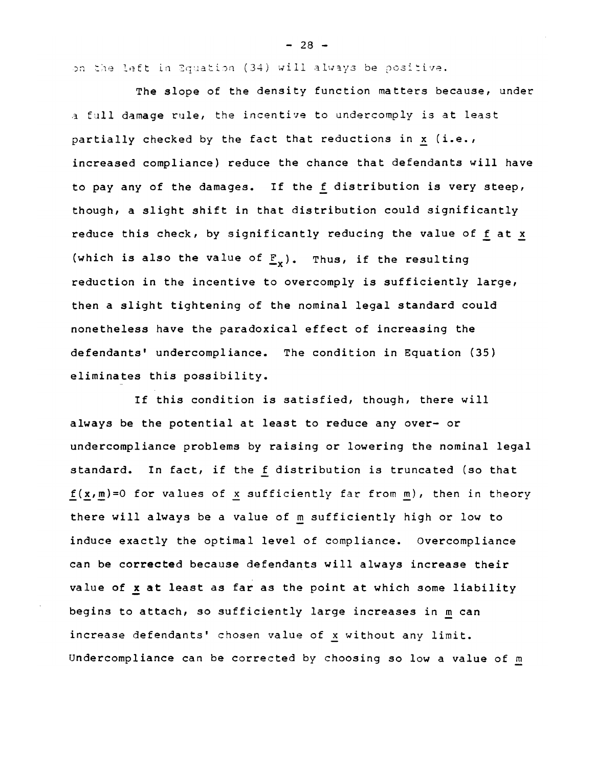on the left in Equation (34) will always be positive.

The slope of the density function matters because, under a full damage rule, the incentive to undercomply is at least partially checked by the fact that reductions in  $x$  (i.e., increased compliance) reduce the chance that defendants will have to pay any of the damages. If the f distribution is very steep, though, a slight shift in that distribution could significantly reduce this check, by significantly reducing the value of f at x (which is also the value of  $\underline{F}_x$ ). Thus, if the resulting reduction in the incentive to overcomply is sufficiently large, then a slight tightening of the nominal legal standard could nonetheless have the paradoxical effect of increasing the defendants' undercompliance. The condition in Equation (35) eliminates this possibility.

If this condition is satisfied, though, there will always be the potential at least to reduce any over- or undercompliance problems by raising or lowering the nominal legal standard. In fact, if the f distribution is truncated (so that  $f(x,m)=0$  for values of x sufficiently far from m), then in theory there will always be a value of m sufficiently high or low to induce exactly the optimal level of compliance. Overcompliance can be corrected because defendants will always increase their value of **x at** least as far as the point at which some liability begins to attach, so sufficiently large increases in m can increase defendants' chosen value of x without any limit. undercompliance can be corrected by choosing so low a value of m

 $- 28 -$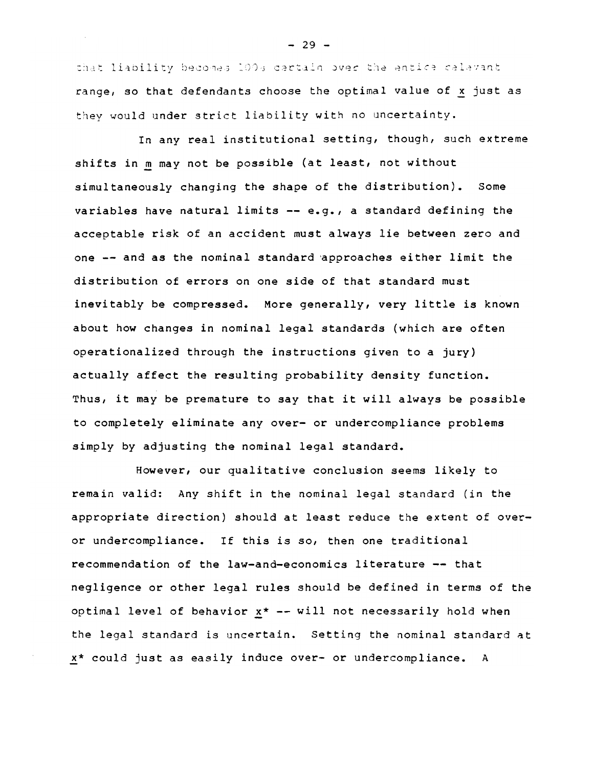that liability becomes 100s cartain over the entice relevant range, so that defendants choose the optimal value of x just as they would under strict liability with no uncertainty.

In any real institutional setting, though, such extreme shifts in m may not be possible (at least, not without simultaneously changing the shape of the distribution). Some variables have natural limits -- e.g., a standard defining the acceptable risk of an accident must always *lie* between zero and one -- and as the nominal standard 'approaches either limit the distribution of errors on one side of that standard must inevitably be compressed. More generally, very little is known about how changes in nominal legal standards (which are often operationalized through the instructions given to a jury) actually affect the resulting probability density function. Thus, it may be premature to say that it will always be possible to completely eliminate any over- or undercompliance problems simply by adjusting the nominal legal standard.

However, our qualitative conclusion seems likely to remain valid: Any shift in the nominal legal standard (in the appropriate direction) should at least reduce the extent of overor undercompliance. If this is so, then one traditional recommendation of the law-and-economics literature -- that negligence or other legal rules should be defined in terms of the optimal level of behavior  $x^*$  -- will not necessarily hold when the legal standard is uncertain. Setting the nominal standard at x\* could just as easily induce over- or undercompliance. A

 $- 29 -$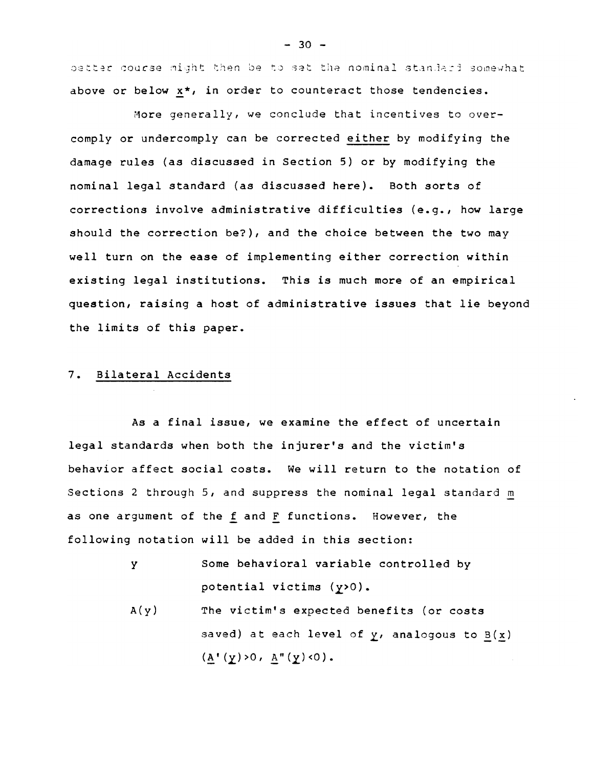better course might then be to set the nominal standard somewhat above or below x\*, *in* order to counteract those tendencies.

More generally, we conclude that incentives to overcomply or undercomply can be corrected either by modifying the damage rules (as discussed in Section 5) or by modifying the nominal legal standard (as discussed here). Both sorts of corrections involve administrative difficulties (e.g., how large should the correction be?), and the choice between the two may well turn on the ease of implementing either correction within existing legal institutions. This is much more of an empirical question, raising a host of administrative issues that lie beyond the limits of this paper.

#### 7. Bilateral Accidents

As a final issue, we examine the effect of uncertain legal standards when both the injurer's and the victim's behavior affect social costs. We will return to the notation of Sections 2 through 5, and suppress the nominal legal standard m as one argument of the f and F functions. However, the following notation will be added in this section:

- y Some behavioral variable controlled by potential victims (y>0).
- $A(y)$ The victim's expected benefits (or costs saved) at each level of  $y$ , analogous to  $B(x)$  $(A' (y) > 0, A'' (y) < 0).$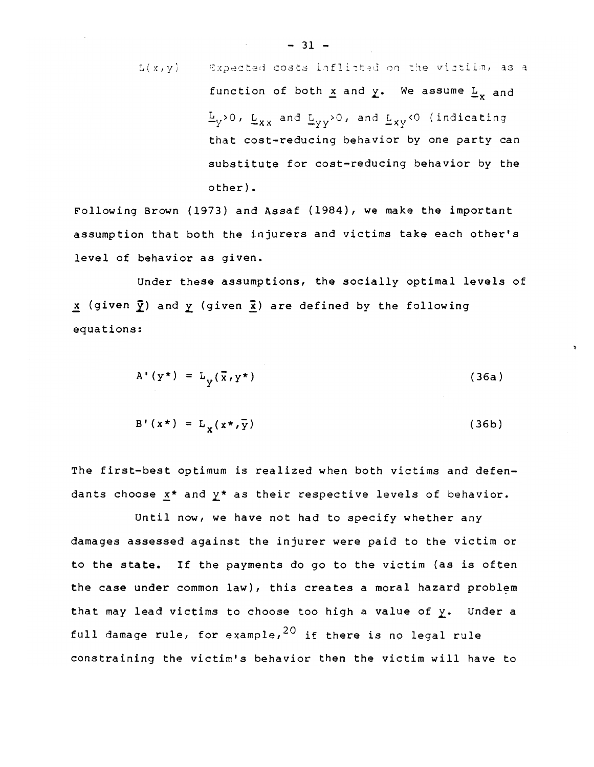L(x,y) Expected costs infinitely done the victim, as a function of both x and y. We assume 
$$
L_x
$$
 and  $L_y > 0$ ,  $L_{xx}$  and  $L_{yy} > 0$ , and  $L_{xy} < 0$  (indicating that cost-reducing behavior by one party can substitute for cost-reducing behavior by the other).

Following Brown (1973) and Assaf (1984), we make the important assumption that both *the* injurers and *victims* take each other's *level* of behavior as given.

Under these assumptions, the socially optimal *levels* of  $\underline{x}$  (given  $\underline{y}$ ) and  $\underline{y}$  (given  $\underline{x}$ ) are defined by the following equations:

$$
A' (y^*) = L_y(\bar{x}, y^*)
$$
 (36a)

$$
B' (x^*) = L_x (x^*, \overline{y})
$$
 (36b)

The first-best optimum is realized when both victims and defendants choose x\* and y\* as their respective levels of behavior.

Until now, we *have* not had to specify whether any damages assessed against the injurer were paid to the victim or to the state. If the payments do go to the victim (as is often the case under common law), this creates a moral hazard problem that may lead victims to choose too high a value of *z.* Under a full damage rule, for example,  $20$  if there is no legal rule constraining the victim's behavior then the victim will have to

 $-31$ .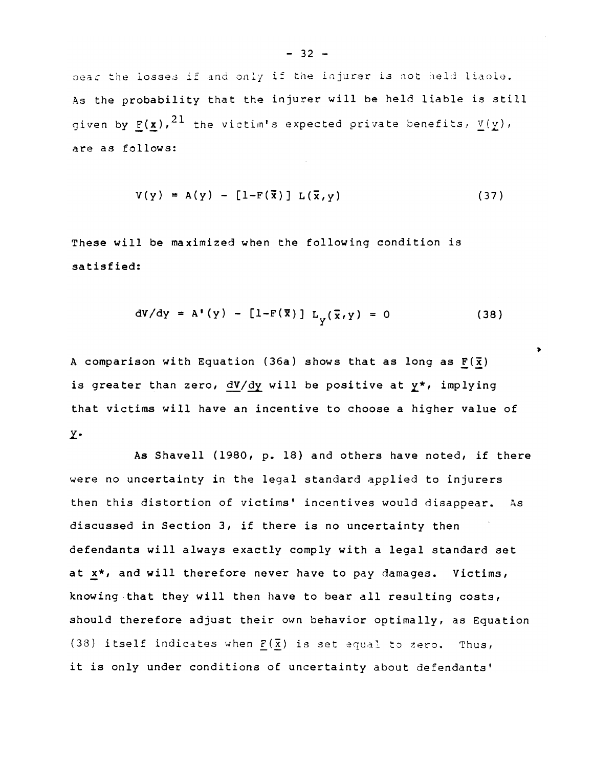bear the losses if and only if the injurer is not held liaole. As the probability that the injurer will be held liable is still given by  $\underline{\mathbf{F}}(\underline{\mathbf{x}})$ ,  $^{21}$  the victim's expected private benefits,  $\underline{v}(\underline{y})$ , are as follows:

$$
V(y) = A(y) - [1-F(\overline{x})] L(\overline{x},y)
$$
 (37)

These will be maximized when the following condition is satisfied:

$$
dV/dy = A'(y) - [1 - F(\overline{x})] L_v(\overline{x}, y) = 0
$$
 (38)

A comparison with Equation (36a) shows that as long as  $F(\bar{x})$ is greater than zero,  $\frac{dV}{dy}$  will be positive at  $y^*$ , implying that victims will have an incentive to choose a higher value of y.

As Shavell (1980, p. 18) and others have noted, if there were no uncertainty in the legal standard applied to injurers then this distortion of victims' incentives would disappear. As discussed in Section 3, if there is no uncertainty then defendants will always exactly comply with a legal standard set at  $x^*$ , and will therefore never have to pay damages. Victims, knowing.that they will then have to bear all resulting costs, should therefore adjust their own behavior optimally, as Equation (38) itself indicates when  $F(\overline{x})$  is set equal to zero. Thus, it is only under conditions of uncertainty about defendants'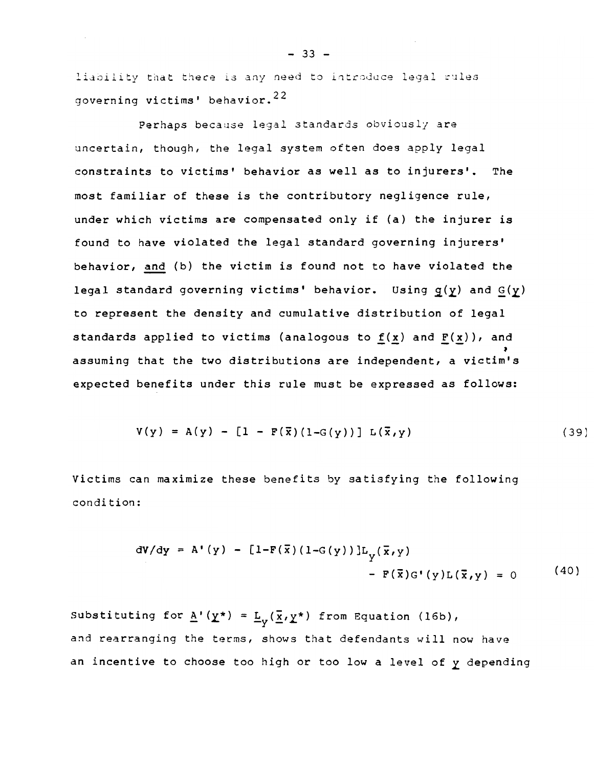liability that there is any need to introduce legal rules governing victims' behavior.  $^{22}$ 

Perhaps because legal standards obviously are uncertain, though, the legal system often does apply legal constraints to victims' behavior as well as to injurers'. The most familiar of these is the contributory negligence rule, under which victims are compensated only if (a) the injurer is found to have violated the legal standard governing injurers' behavior, and (b) the victim is found not to have violated the legal standard governing victims' behavior. Using  $g(y)$  and  $G(y)$ to represent the density and cumulative distribution of legal standards applied to victims (analogous to  $f(x)$  and  $F(x)$ ), and ) assuming that the two distributions are independent, a victim's expected benefits under this rule must be expressed as follows:

$$
V(y) = A(y) - [1 - F(\bar{x}) (1 - G(y))] L(\bar{x}, y)
$$
 (39)

Victims can maximize these benefits by satisfying the following condition:

$$
dV/dy = A'(y) - [1-F(\bar{x}) (1-G(y))]L_y(\bar{x}, y)
$$
  
- F(\bar{x})G'(y)L(\bar{x}, y) = 0 (40)

Substituting for  $\underline{A}'(\underline{Y}^*) = \underline{L}_V(\underline{\overline{x}}, \underline{Y}^*)$  from Equation (16b), and rearranging the terms, shows that defendants will now have an incentive to choose too high or too low a level of y depending

 $- 33 -$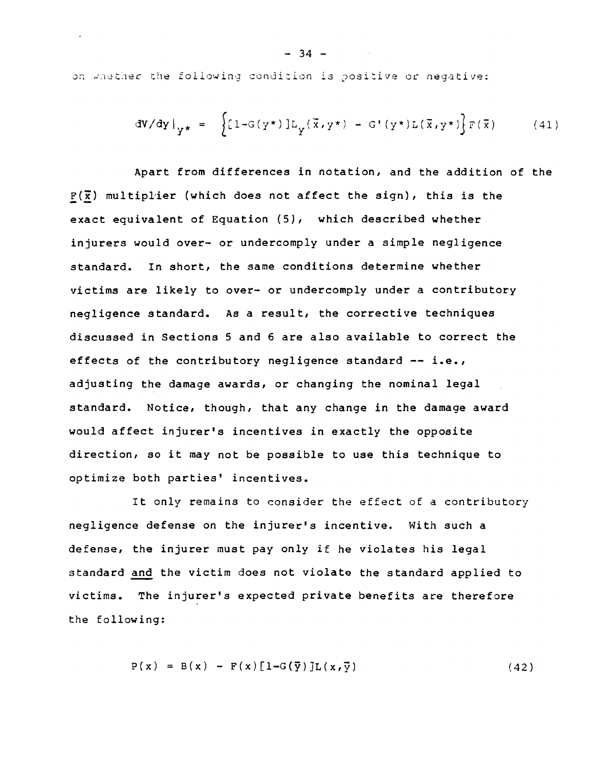on whether the following condition is positive or negative:

$$
dV/dy|_{Y^*} = \left\{ [1 - G(y^*)] L_y(\vec{x}, y^*) - G'(y^*) L(\vec{x}, y^*) \right\} F(\vec{x}) \tag{41}
$$

Apart from differences in notation, and the addition of the  $F(\overline{x})$  multiplier (which does not affect the sign), this is the exact equivalent of Equation (5), which described whether injurers would over- or undercomply under a simple negligence standard. In short, the same conditions determine whether victims are likely to over- or undercomply under a contributory negligence standard. As a result, the corrective techniques discussed in Sections 5 and 6 are also available to correct the effects of the contributory negligence standard -- i.e., adjusting the damage awards, or changing the nominal legal standard. Notice, though, that any change in the damage award would affect injurer's incentives in exactly the opposite direction, so it may not be possible to use this technique to optimize both parties' incentives.

It only remains to consider the effect of a contributory negligence defense on the injurer's incentive. With such a defense, the injurer must pay only if he violates his legal standard and the victim does not violate the standard applied to victims. The injurer's expected private benefits are therefore the following:

$$
P(x) = B(x) - F(x)[1-G(\vec{y})]L(x,\vec{y})
$$
\n(42)

 $-34 -$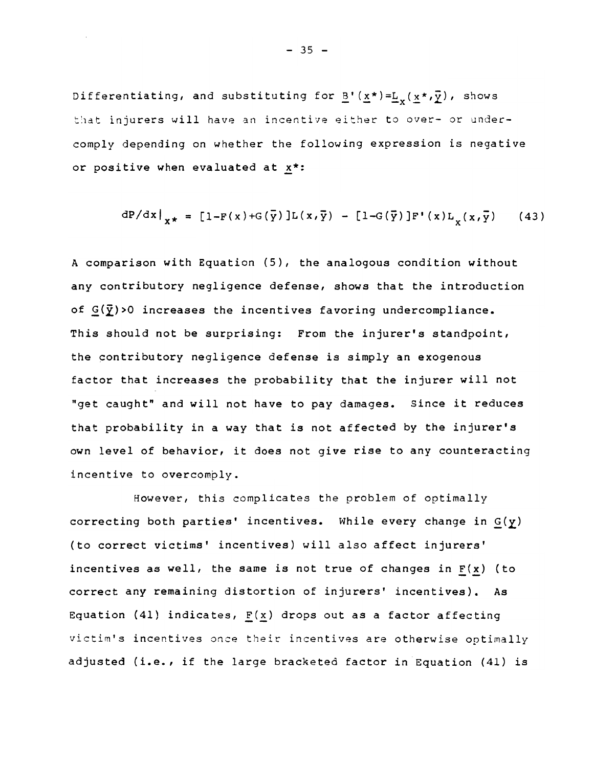Differentiating, and substituting for  $\underline{B}'(\underline{x}^*)=\underline{L}_x(\underline{x}^*,\overline{\underline{y}})$ , shows that injurers will have an incentive either to over- or undercomply depending on whether the following expression is negative or positive when evaluated at x\*:

$$
dP/dx|_{x*} = [1-F(x)+G(\bar{y})]L(x,\bar{y}) - [1-G(\bar{y})]F'(x)L_{y}(x,\bar{y}) \qquad (43)
$$

A comparison with Equation (5), the analogous condition without any contributory negligence defense, shows that the introduction of  $G(\bar{y})$  >0 increases the incentives favoring undercompliance. This should not be surprising: From the injurer's standpoint, the contributory negligence defense is simply an exogenous factor that increases the probability that the injurer will not "get caught" and will not have to pay damages. Since it reduces that probability in a way that is not affected by the injurer's own level of behavior, it does not give rise to any counteracting incentive to overcomply.

However, this complicates the problem of optimally correcting both parties' incentives. While every change in G(y) (to correct victims' incentives) will also affect injurers' incentives as well, the same is not true of changes in  $F(x)$  (to correct any remaining distortion of injurers' incentives). As Equation (41) indicates,  $F(x)$  drops out as a factor affecting victim's incentives once their incentives are otherwise optimally adjusted (i.e., if the large bracketed factor in Equation (41) is

 $- 35 -$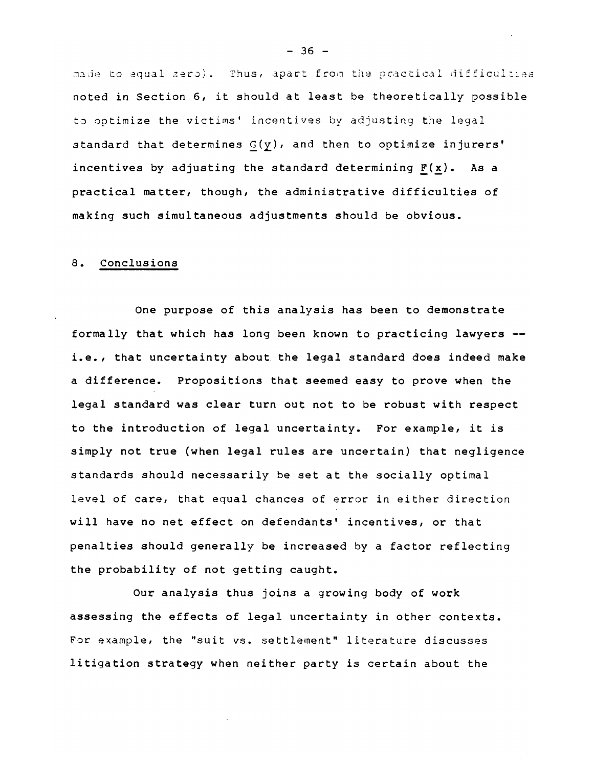made to equal zero). Thus, apart from the practical difficulties noted in section 6, it should at least be theoretically possible to optimize the victims' incentives by adjusting the legal standard that determines  $G(y)$ , and then to optimize injurers' incentives by adjusting the standard determining  $F(x)$ . As a practical matter, though, the administrative difficulties of making such simultaneous adjustments should be obvious.

#### 8. Conclusions

One purpose of this analysis has been to demonstrate formally that which has long been known to practicing lawyers i.e., that uncertainty about the legal standard does indeed make a difference. Propositions that seemed easy to prove when the legai standard was clear turn out not to be robust with respect to the introduction of legal uncertainty. For example, it is simply not true (when legal rules are uncertain) that negligence standards should necessarily be set at the socially optimal level of care, that equal chances of error in either direction will have no net effect on defendants' incentives, or that penalties *should generally* be increased by a factor reflecting the probability of not getting caught.

Our analysis thus joins a growing body of work assessing the effects of legal uncertainty in other contexts. For example, the "suit *vs.* settlement" literature discusses litigation strategy when neither party is certain about the

 $- 36 -$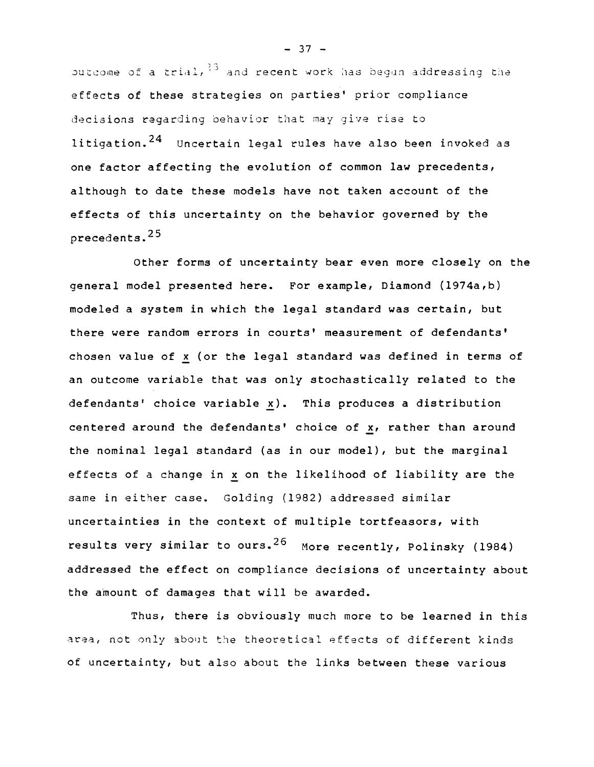butcome of a trial,  $^{23}$  and recent work has begun addressing the effects of these strategies on parties' prior compliance decisions regarding behavior that may give rise to litigation.<sup>24</sup> Uncertain legal rules have also been invoked as one factor affecting the evolution of common law precedents, although to date these models have not taken account of the effects of this uncertainty on the behavior governed by the precedents. 25

Other forms of uncertainty bear even more closely on the general model presented here. For example, Diamond (1974a,b) modeled a system in which the legal standard was certain, but there were random errors in courts' measurement of defendants' chosen value of x (or the legal standard was defined in terms of an outcome variable that was only stochastically related to the  $defendants'$  choice variable  $x$ ). This produces a distribution centered around the defendants' choice of x, rather than around the nominal legal standard (as in our model), but the marginal effects of a change in x on the likelihood of liability are the same in either case. Golding (1982) addressed similar uncertainties in the context of multiple tortfeasors, with results very similar to ours.<sup>26</sup> More recently, Polinsky (1984) addressed the effect on compliance decisions of uncertainty about the amount of damages that will be awarded.

Thus, there is obviously much more to be learned in this area, not only about the theoretical effects of different kinds of uncertainty, but also about the links between these various

 $- 37 -$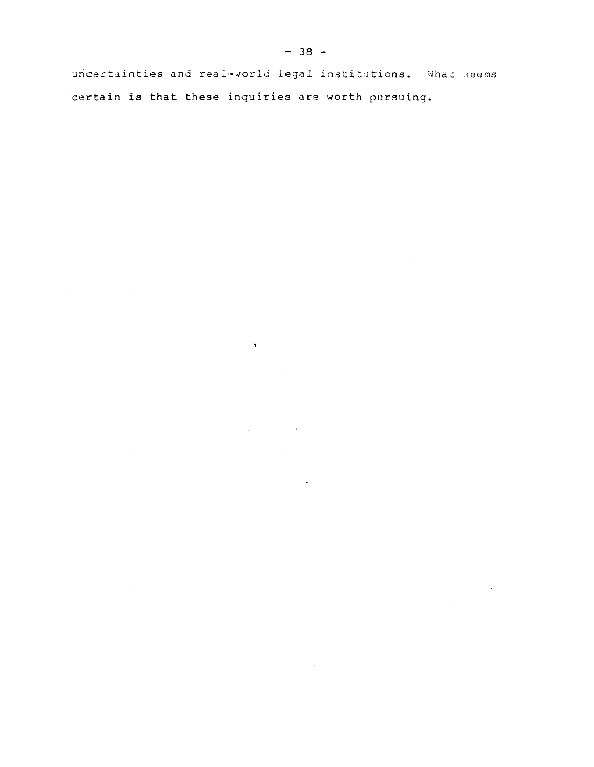uncertainties and real-world legal institutions. What seems certain is that these inquiries are worth pursuing.

 $\bullet$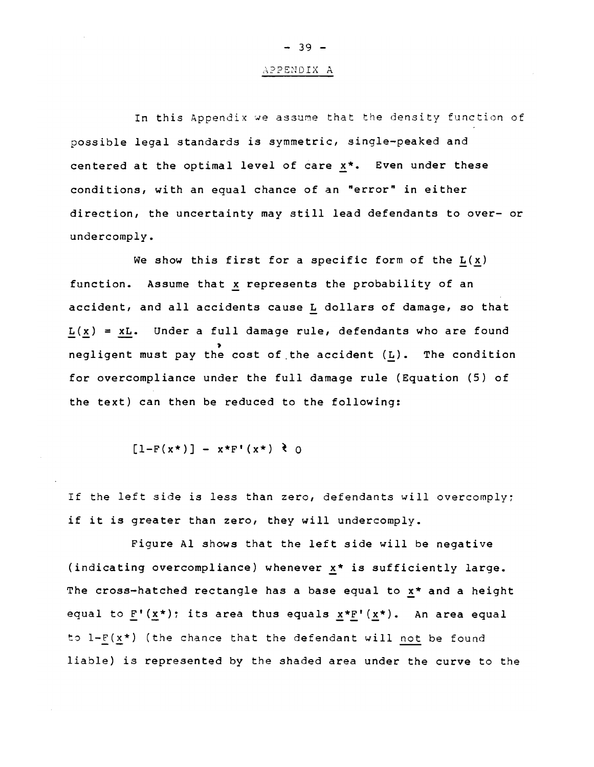#### APPENDIX A

 $- 39 -$ 

In this Appendix we assume that the density function of possible legal standards is symmetric, single-peaked and centered at the optimal level of care x\*. Even under these conditions, with an equal chance of an "error" in either direction, the uncertainty may still lead defendants to over- or undercomply.

We show this first for a specific form of the  $L(x)$ function. Assume that x represents the probability of an accident, and *all* accidents cause L dollars of damage, so that  $L(x) = xL$ . Under a full damage rule, defendants who are found ,<br>negligent must pay the cost of the accident (L). The condition for overcompliance under the full damage rule (Equation (5) of the text) can then be reduced to the following:

$$
[1-F(x*)] - x*F'(x*) \ge 0
$$

If the left side is less than zero, defendants will overcomply; if it is greater than zero, they will undercomply.

Figure Al shows that the left side will be negative (indicating overcompliance) whenever  $x*$  is sufficiently large. The cross-hatched rectangle has a base equal to x\* and a height equal to  $F'(x^*)$ ; its area thus equals  $x^*F'(x^*)$ . An area equal to  $l-F(x*)$  (the chance that the defendant will not be found liable) is represented by the shaded area under the curve to the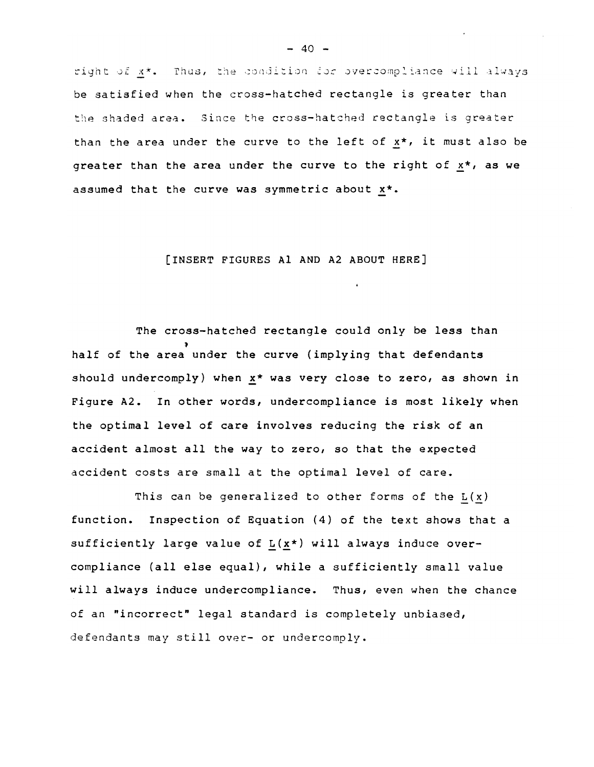right of x\*. Thus, the condition for overcompliance will always be satisfied when the cross-hatched rectangle is greater than the shaded area. Since the cross-hatched rectangle is greater than the area under the curve to the left of x\*, it must also be greater than the area under the curve to the right of  $x^*$ , as we assumed that the curve was symmetric about  $x^*$ .

#### [INSERT FIGURES Al AND A2 ABOUT HERE]

The cross-hatched rectangle could only be less than , half of the area under the curve (implying that defendants should undercomply) when  $x*$  was very close to zero, as shown in Figure A2. In other words, undercompliance is most likely when the optimal level of care involves reducing the risk of an accident almost all the way to zero, so that the expected accident costs are small at the optimal level of care.

This can be generalized to other forms of the  $L(x)$ function. Inspection of Equation (4) of the text shows that a sufficiently large value of  $L(x*)$  will always induce overcompliance (all else equal), while a sufficiently small value will always induce undercompliance. Thus, even when the chance of an "incorrect" legal standard is completely unbiased, defendants may *still ovec- or* undercomply.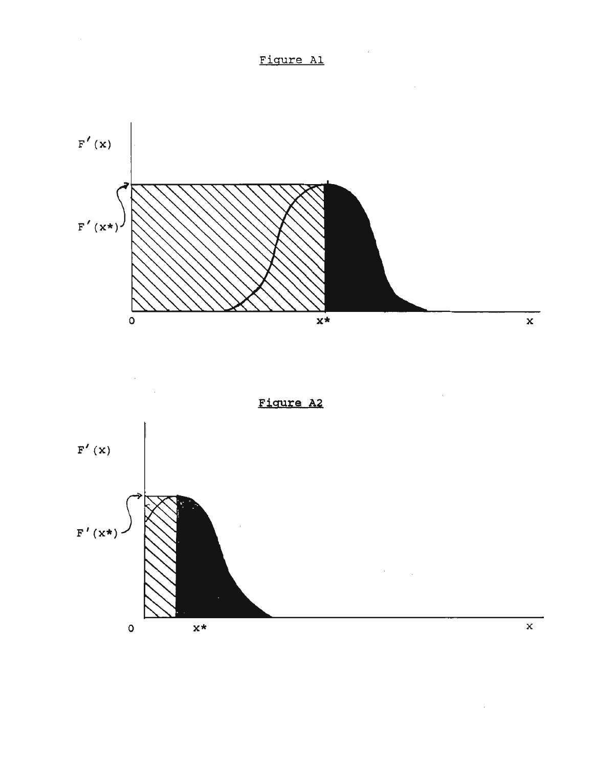

Figure A2

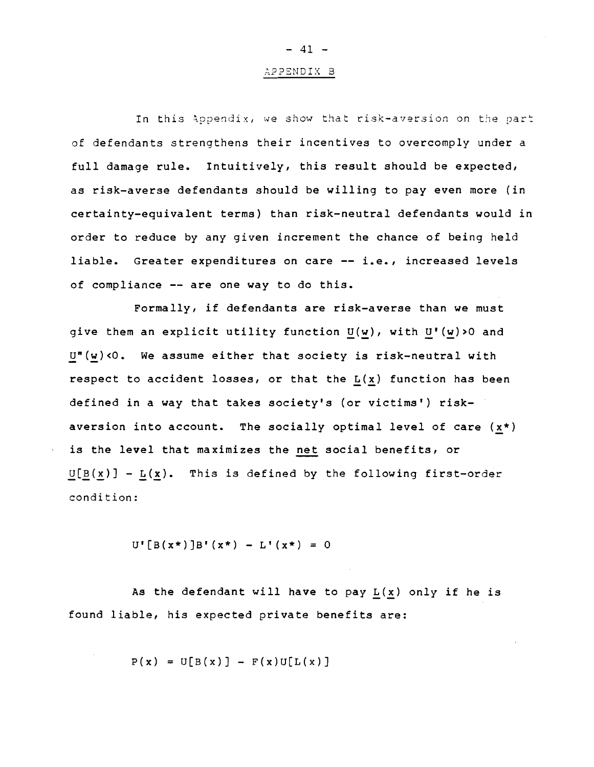# APPENDIX B

 $-41 -$ 

In this Appendix, we show that risk-aversion on the part of defendants strengthens their incentives to overcomply under a full damage rule. Intuitively, this result should be expected, as risk-averse defendants should be willing to pay even more (in certainty-equivalent terms) than risk-neutral defendants would in order to reduce by any given increment the chance of being held liable. Greater expenditures on care **--** *i.e.,* increased levels of compliance **--** are one way to do this.

Formally, if defendants are risk-averse than we must give them an explicit utility function  $U(w)$ , with  $U'(w) > 0$  and  $U^{\prime\prime}(w)$  <0. We assume either that society is risk-neutral with respect to accident losses, or that the  $L(x)$  function has been defined in a way that takes society's (or victims') riskaversion into account. The socially optimal level of care  $(x*)$ is the level that maximizes the net social benefits, or  $U[B(x)] - L(x)$ . This is defined by the following first-order condition:

 $U' [B(x<sup>*</sup>)]B' (x<sup>*</sup>) - L' (x<sup>*</sup>) = 0$ 

As the defendant will have to pay  $L(x)$  only if he is found liable, his expected private benefits are:

 $P(x) = U[B(x)] - F(x)U[L(x)]$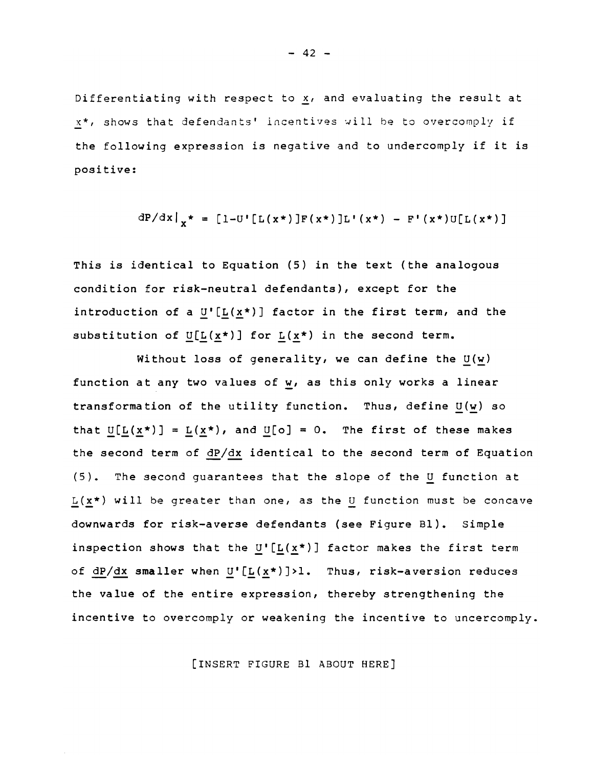Differentiating with respect to  $x$ , and evaluating the result at x\*, shows that defendants' incentives will be to overcomply if the following expression is negative and to undercomply if it is positive:

$$
dP/dx|_{x^*} = [1-U' [L(x^*)]F(x^*)]L'(x^*) - F'(x^*)U[L(x^*)]
$$

This *is* identical to Equation (5) in the text (the analogous condition for risk-neutral defendants), except for the introduction of a  $U^{[L(x*)]}$  factor in the first term, and the substitution of  $U[L(x*)]$  for  $L(x*)$  in the second term.

Without loss of generality, we can define the  $U(w)$ function at any two values of w, as this only works a linear transformation of the *utility* function. Thus, define U(w) so that  $U[L(x<sup>*</sup>)] = L(x<sup>*</sup>)$ , and  $U[0] = 0$ . The first of these makes the second term of dP/dx identical to the second term of Equation (5). The second guarantees that the slope of the U function at  $L(x*)$  will be greater than one, as the U function must be concave downwards for risk-averse defendants (see Figure Bl). Simple inspection shows that the U'[L( $x^*$ )] factor makes the first term of  $dP/dx$  smaller when  $U^{[L(x*)]}$ )l. Thus, risk-aversion reduces the value of the entire expression, thereby strengthening the incentive to overcomply or weakening the incentive to uncercomply.

[INSERT FIGURE Bl ABOUT HERE]

 $- 42 -$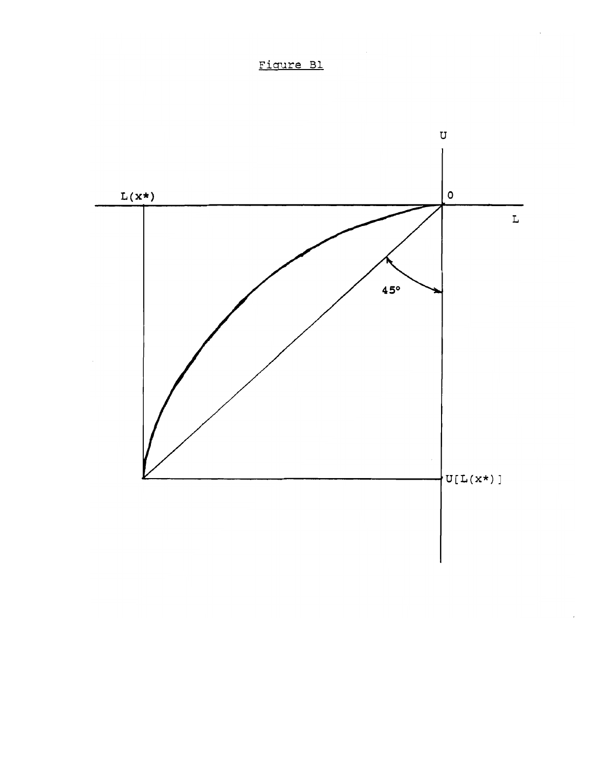

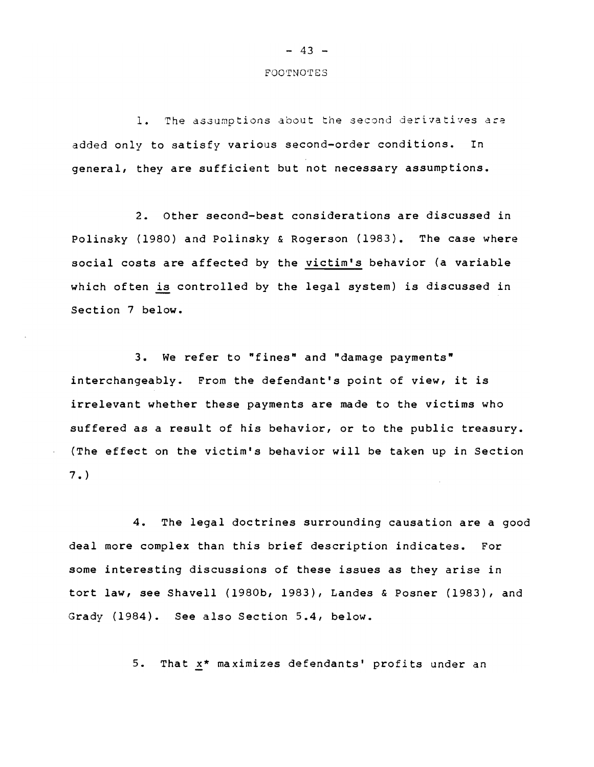#### FOOTNOTES

1. The assumptions about the second derivatives are added only to satisfy various second-order conditions. In general, they are sufficient but not necessary assumptions.

2. Other second-best considerations are discussed in Polinsky (1980) and Polinsky & Rogerson (1983). The case where social costs are affected by the victim's behavior (a variable which often is controlled by the legal system) is discussed in Section 7 below.

3. We refer to "fines" and "damage payments" interchangeably. From the defendant's point of view, it is irrelevant whether these payments are made to the victims who suffered as a result of his behavior, or to the public treasury. (The effect on the victim's behavior will be taken up in Section 7. )

4. The legal doctrines surrounding causation are a good deal more complex than this brief description indicates. For some interesting discussions of these issues as they arise in tort law, *see* Shavell (1980b, 1983), Landes & Posner (1983), and Grady (1984). See also Section 5.4, below.

5. That  $x^*$  maximizes defendants' profits under an

## $- 43 -$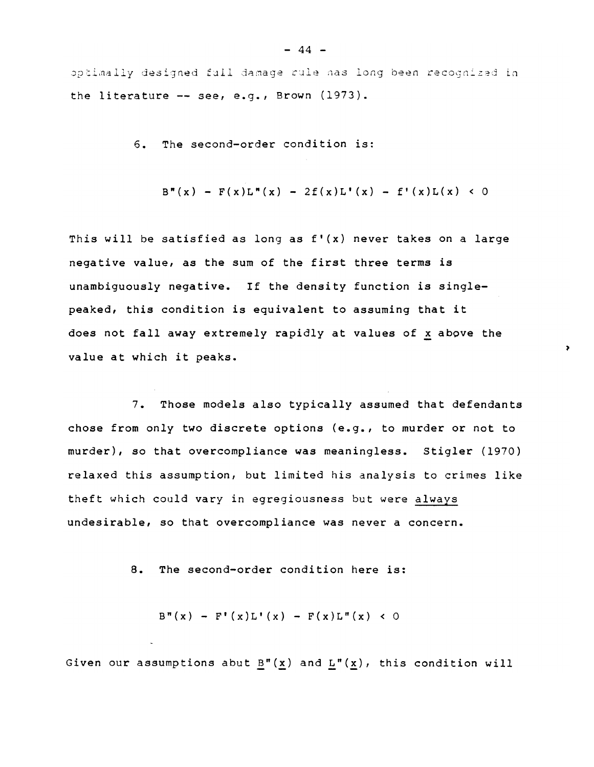optimally designed fall damage rule nas long been recognized in the literature -- see, e.g., Brown (1973).

6. The second-order condition is:

$$
B'''(x) - F(x)L'''(x) - 2f(x)L'(x) - f'(x)L(x) < 0
$$

ä,

This will be satisfied as long as  $f'(x)$  never takes on a large negative value, as the sum of the first three terms is unambiguously negative. If the density function is singlepeaked, this condition is equivalent to assuming that it does not fall away extremely rapidly at values of x above the value at which it peaks.

7. Those models also typically assumed that defendants chose from only two discrete options (e.g., to murder or not to murder), so that overcompliance was meaningless. Stigler (1970) relaxed this assumption, but limited his analysis to crimes like theft which could vary in egregiousness but were always undesirable, so that overcompliance was never a concern.

8. The second-order condition here is:

 $B''(x) - F'(x)L'(x) - F(x)L''(x) < 0$ 

Given our assumptions abut  $B''(x)$  and  $L''(x)$ , this condition will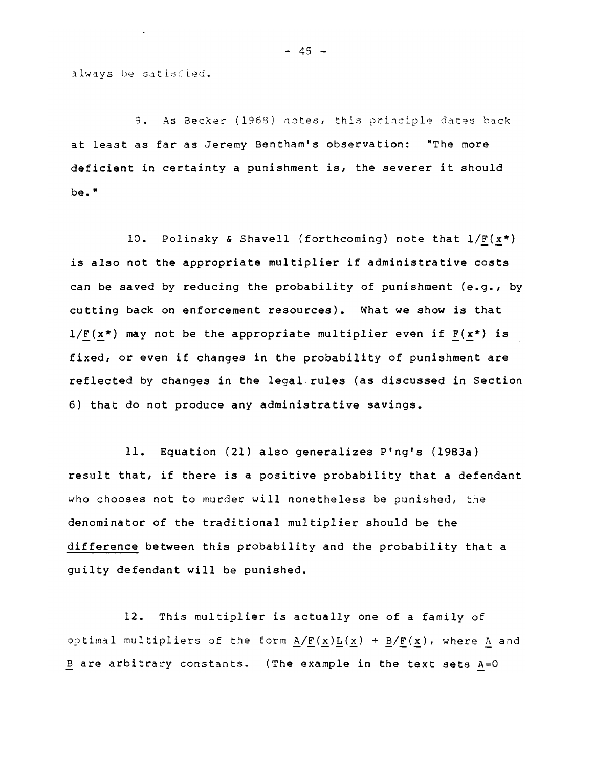always be satisfied.

9. As Becker (1968) notes, this principle dates back at least as far as Jeremy Bentham's observation: "The more deficient in certainty a punishment is, the severer it should be."

10. Polinsky & Shavell (forthcoming) note that  $1/F(x*)$ is also not the appropriate multiplier if administrative costs can be saved by reducing the probability of punishment (e.g., by cutting back on enforcement resources). What we show is that  $1/F(x*)$  may not be the appropriate multiplier even if  $F(x*)$  is fixed, or even if changes in the probability of punishment are reflected by changes in the legal. rules (as discussed in Section 6) that do not produce any administrative savings.

11. Equation (21) also generalizes P'ng's (1983a) result that, if there is a positive probability that a defendant who chooses not to murder will nonetheless be punished, the denominator of the traditional multiplier should be the difference between this probability and the probability that a guilty defendant will be punished.

12. This multiplier is actually one of a family of optimal multipliers of the form  $A/F(x)L(x) + B/F(x)$ , where A and B are arbitrary constants. (The example in the text sets A=O

 $- 45 -$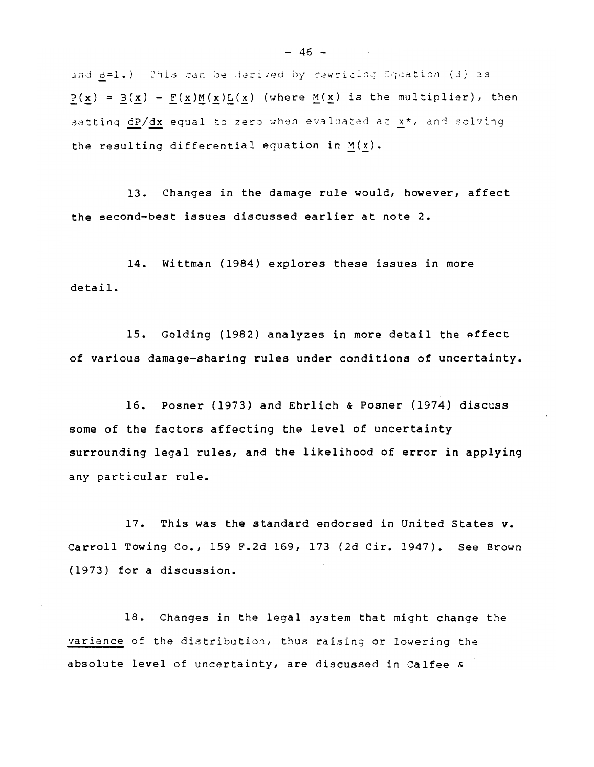and B=1.) This can be derived by rewriting Equation (3) as  $P(x) = B(x) - F(x)M(x)L(x)$  (where  $M(x)$  is the multiplier), then setting dP/dx equal to zero when evaluated at x\*, and solving the resulting differential equation in  $M(x)$ .

13. Changes in the damage rule would, however, affect the second-best issues discussed earlier at note 2.

14. Wittman (1984) explores these issues in more detail.

15. Golding (1982) analyzes in more detail the effect of various damage-sharing rules under conditions of uncertainty.

16. Posner (1973) and Ehrlich & Posner (1974) discuss some of the factors affecting the level of uncertainty surrounding legal rules, and the likelihood of error in applying any particular rule.

 $17.$ This was the standard endorsed in United States v. Carroll Towing Co., 159 F.2d 169, 173 (2d Cir. 1947). See Brown (1973) for a discussion.

18. Changes in the legal system that might change the variance of the distribution, thus raising or lowering the absolute level of uncertainty, are discussed in Calfee &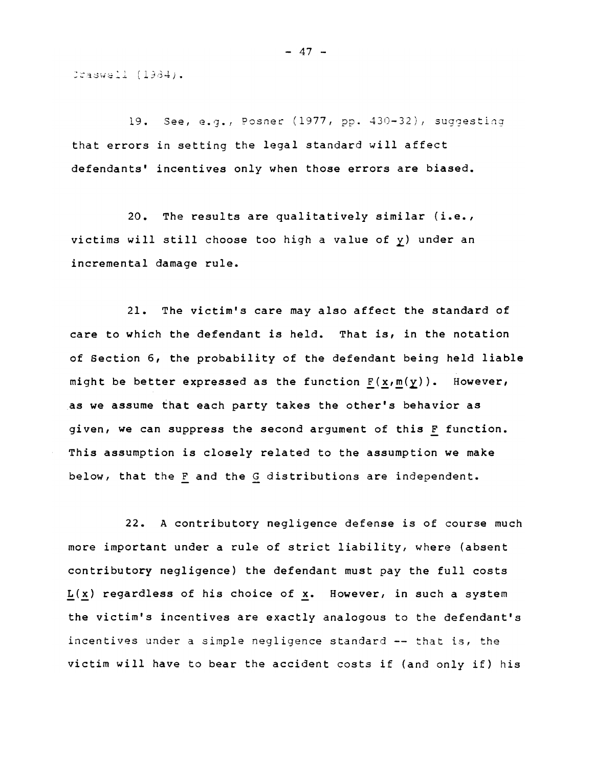$Craswell (1334).$ 

19. See, e.g\_, Posner (1977, pp. 430-32), suggesting that errors in setting the legal standard will affect defendants' incentives only when those errors are biased.

20. The results are qualitatively similar (i.e., victims will still choose too high a value of y) under an incremental damage rule.

21. The victim's care may also affect the standard of care to which the defendant is held. That is, in the notation of Section 6, the probability of the defendant being held liable might be better expressed as the function  $F(x,m(y))$ . However, as we assume that each party takes the other's behavior as given, we can suppress the second argument of this F function. This assumption is closely related to the assumption we make below, that the F and the G distributions are independent.

22. A contributory negligence defense is of course much more important under a rule of strict liability, where (absent contributory negligence) the defendant must pay the full costs  $L(x)$  regardless of his choice of x. However, in such a system the victim's incentives are exactly analogous to the defendant's incentives under a simple negligence standard  $-$ - that is, the victim will have to bear the accident costs if (and only if) his

 $- 47 -$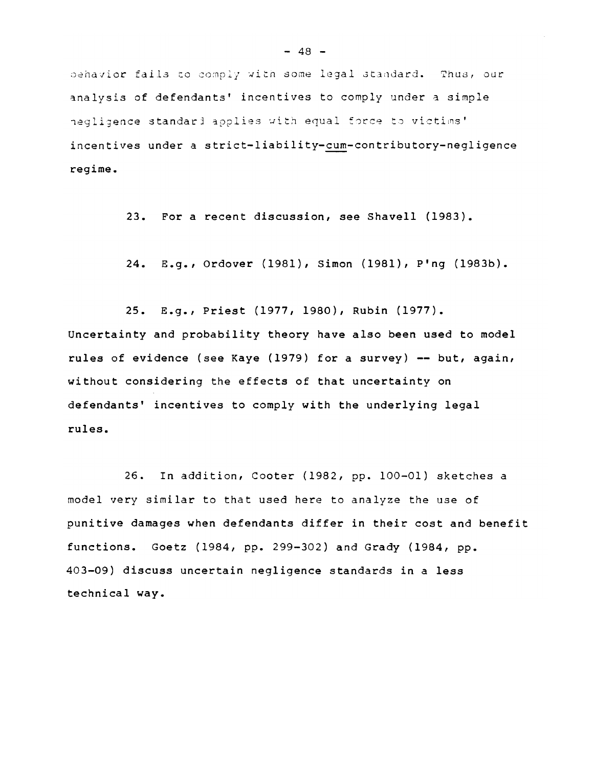behavior fails to comply with some legal standard. Thus, our analysis of defendants' incentives to comply under a simple hegligence standard applies with equal force to victims' incentives under a strict-liability-cum-contributory-negligence regime.

23. For a recent discussion, see Shavell (1983).

24. E.g., Ordover (1981), Simon (1981), P'ng (1983b).

25. E.g., Priest (1977, 1980), Rubin (1977). Uncertainty and probability theory have also been used to model rules of evidence (see Kaye (1979) for a survey) **--** but, again, without considering the effects of that uncertainty on defendants' incentives to comply with the underlying legal rules.

26. In addition, Cooter (1982, pp. 100-01) sketches a model very similar to that used here to analyze the use of punitive damages when defendants differ in their cost and benefit functions. Goetz (1984, pp. 299-302) and Grady (1984, pp. 403-09) discuss uncertain negligence standards in a less technical way.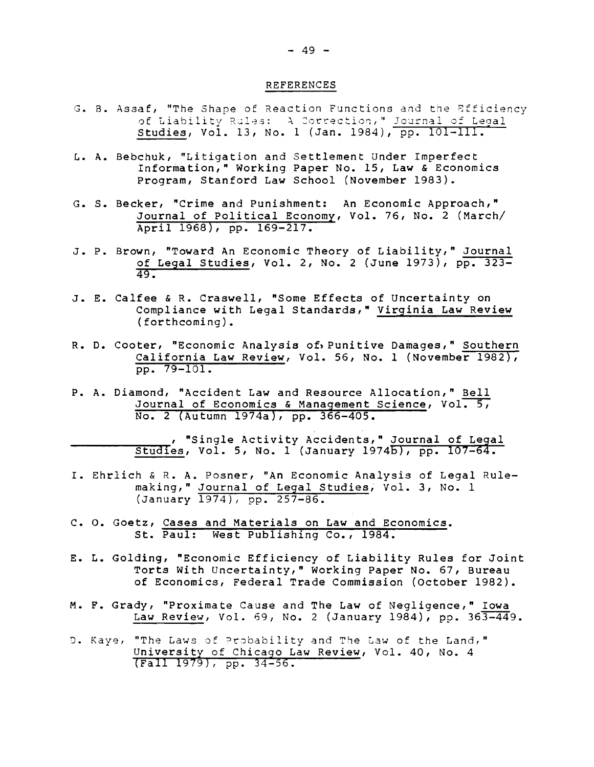#### **REFERENCES**

- G. B. Assaf, "The Shape of Reaction Functions and the Efficiency of Liability Rules: A Correction," Journal of Legal Studies, Vol. 13, No. 1 (Jan. 1984), pp. 101-111.
- L. A. Bebchuk, "Litigation and Settlement Under Imperfect Information," Working Paper No. 15, Law & Economics Program, Stanford Law School (November 1983).
- G. S. Becker, "Crime and Punishment: An Economic Approach," Journal of Political Economy, Vol. 76, No. 2 (March/ April 1968), pp. 169-217.
- J. P. Brown, "Toward An Economic Theory of Liability," Journal of Legal Studies, Vol. 2, No. 2 (June 1973), pp. 323- $49.$
- J. E. Calfee & R. Craswell, "Some Effects of Uncertainty on Compliance with Legal Standards," Virginia Law Review (forthcoming).
- R. D. Cooter, "Economic Analysis of, Punitive Damages," Southern California Law Review, Vol. 56, No. 1 (November 1982), pp. 79-101.
- P. A. Diamond, "Accident Law and Resource Allocation," Bell Journal of Economics & Management Science, Vol. 5, No. 2 (Autumn 1974a), pp. 366-405.

, "Single Activity Accidents," Journal of Legal Studies, Vol. 5, No. 1 (January 1974b), pp.  $107-64$ .

- I. Ehrlich & R. A. Posner, "An Economic Analysis of Legal Rulemaking," Journal of Legal Studies, Vol. 3, No. 1 (January 1974), pp. 257-86.
- C. O. Goetz, Cases and Materials on Law and Economics. St. Paul: West Publishing Co., 1984.
- E. L. Golding, "Economic Efficiency of Liability Rules for Joint Torts With Uncertainty," Working Paper No. 67, Bureau of Economics, Federal Trade Commission (October 1982).
- M. F. Grady, "Proximate Cause and The Law of Negligence," Iowa Law Review, Vol. 69, No. 2 (January 1984), pp. 363-449.
- D. Kaye, "The Laws of Probability and The Law of the Land," University of Chicago Law Review, Vol. 40, No. 4  $(Fa11 1979)$ , pp. 34-56.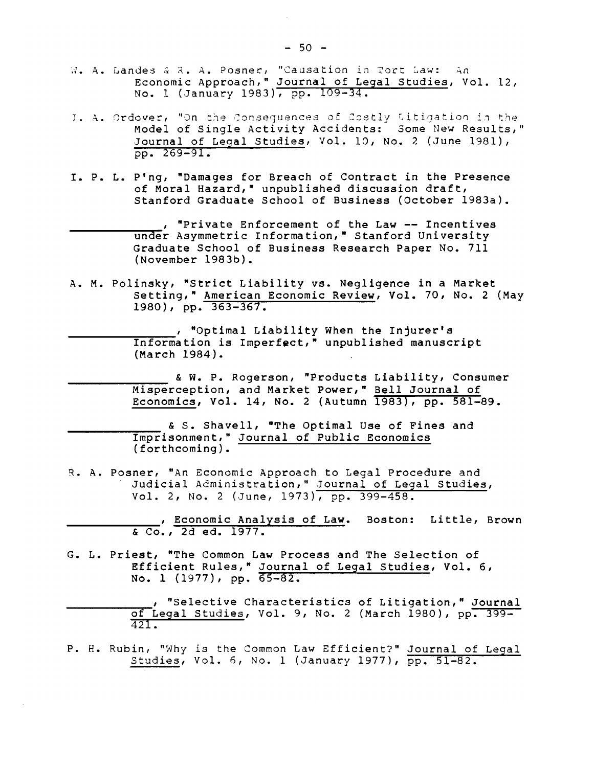- W. A. Landes & R. A. Posner, "Causation in Tort Law: An<br>Economic Approach," Journal of Legal Studies, Vol. 12, No. 1 (January 1983), pp. 109-34.
- J. A. Ordover, "On the Consequences of Costly Litigation in the Model of Single Activity Accidents: Some New Results," Journal of Legal Studies, Vol. 10, No. 2 (June 1981),  $pp. 269 - 91.$
- I. P. L. P'ng, "Damages for Breach of Contract in the Presence of Moral Hazard," unpublished discussion draft, Stanford Graduate School of Business (October 1983a).
	- , "Private Enforcement of the Law -- Incentives under Asymmetric Information," Stanford University Graduate School of Business Research Paper No. 711 (November 1983b).
- A. M. Polinsky, "Strict Liability vs. Negligence in a Market Setting," American Economic Review, Vol. 70, No. 2 (May 1980), pp. 363-367.

, "Optimal Liability When the Injurer's Information is Imperfect," unpublished manuscript (March 1984).

& W. P. Rogerson, "Products Liability, Consumer Misperception, and Market Power," Bell Journal of Economics, Vol. 14, No. 2 (Autumn 1983), pp. 581-89.

& S. Shavell, "The Optimal Use of Fines and Imprisonment," Journal of Public Economics<br>(forthcoming).

R. A. Posner, "An Economic Approach to Legal Procedure and Judicial Administration," Journal of Legal Studies, Vol. 2, No. 2 (June, 1973), pp. 399-458.

> . Economic Analysis of Law. Boston: Little, Brown & Co., 2d ed. 1977.

- G. L. Priest, "The Common Law Process and The Selection of Efficient Rules," Journal of Legal Studies, Vol. 6,<br>No. 1 (1977), pp. 65-82.
	- , "Selective Characteristics of Litigation," Journal of Legal Studies, Vol. 9, No. 2 (March 1980), pp. 399-421.

P. H. Rubin, "Why is the Common Law Efficient?" Journal of Legal<br>Studies, Vol. 6, No. 1 (January 1977), pp. 51-82.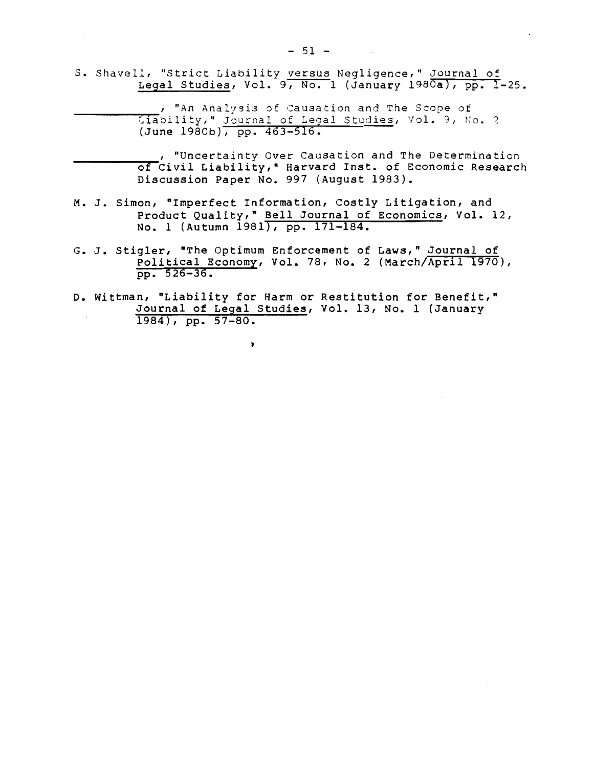S. Shavell, "Strict Liability versus Negligence," Journal of Legal Studies, Vol. 9, No. 1 (January 1980a), pp. I-25.

> , "An Analysis of Causation and The Scope of Liability," Journal of Legal Studies, Vol. 9, No. 2 (June 1980b), pp. 463-516.

"Uncertainty Over Causation and The Determination of Civil Liability," Harvard Inst. of Economic Research<br>Discussion Paper No. 997 (August 1983).

- M. J. Simon, "Imperfect Information, Costly Litigation, and Product Quality, " Bell Journal of Economics, Vol. 12, No. 1 (Autumn 1981), pp. 171-184.
- G. J. Stigler, "The Optimum Enforcement of Laws," Journal of Political Economy, Vol. 78, No. 2 (March/April 1970),  $pp. 526 - 36.$
- D. Wittman, "Liability for Harm or Restitution for Benefit," Journal of Legal Studies, Vol. 13, No. 1 (January  $1984)$ , pp. 57-80.

 $\overline{\phantom{a}}$